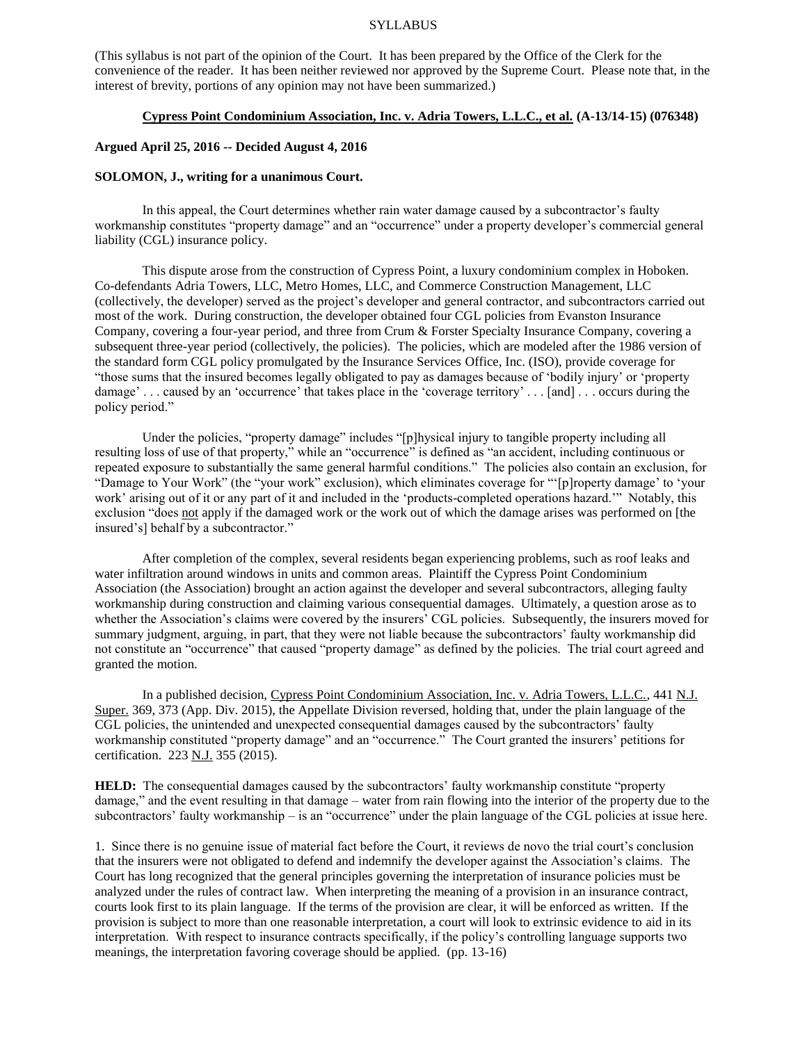#### SYLLABUS

(This syllabus is not part of the opinion of the Court. It has been prepared by the Office of the Clerk for the convenience of the reader. It has been neither reviewed nor approved by the Supreme Court. Please note that, in the interest of brevity, portions of any opinion may not have been summarized.)

# **Cypress Point Condominium Association, Inc. v. Adria Towers, L.L.C., et al. (A-13/14-15) (076348)**

# **Argued April 25, 2016 -- Decided August 4, 2016**

#### **SOLOMON, J., writing for a unanimous Court.**

In this appeal, the Court determines whether rain water damage caused by a subcontractor's faulty workmanship constitutes "property damage" and an "occurrence" under a property developer's commercial general liability (CGL) insurance policy.

This dispute arose from the construction of Cypress Point, a luxury condominium complex in Hoboken. Co-defendants Adria Towers, LLC, Metro Homes, LLC, and Commerce Construction Management, LLC (collectively, the developer) served as the project's developer and general contractor, and subcontractors carried out most of the work. During construction, the developer obtained four CGL policies from Evanston Insurance Company, covering a four-year period, and three from Crum & Forster Specialty Insurance Company, covering a subsequent three-year period (collectively, the policies). The policies, which are modeled after the 1986 version of the standard form CGL policy promulgated by the Insurance Services Office, Inc. (ISO), provide coverage for "those sums that the insured becomes legally obligated to pay as damages because of 'bodily injury' or 'property damage' . . . caused by an 'occurrence' that takes place in the 'coverage territory' . . . [and] . . . occurs during the policy period."

Under the policies, "property damage" includes "[p]hysical injury to tangible property including all resulting loss of use of that property," while an "occurrence" is defined as "an accident, including continuous or repeated exposure to substantially the same general harmful conditions." The policies also contain an exclusion, for "Damage to Your Work" (the "your work" exclusion), which eliminates coverage for "'[p]roperty damage' to 'your work' arising out of it or any part of it and included in the 'products-completed operations hazard.'" Notably, this exclusion "does not apply if the damaged work or the work out of which the damage arises was performed on [the insured's] behalf by a subcontractor."

After completion of the complex, several residents began experiencing problems, such as roof leaks and water infiltration around windows in units and common areas. Plaintiff the Cypress Point Condominium Association (the Association) brought an action against the developer and several subcontractors, alleging faulty workmanship during construction and claiming various consequential damages. Ultimately, a question arose as to whether the Association's claims were covered by the insurers' CGL policies. Subsequently, the insurers moved for summary judgment, arguing, in part, that they were not liable because the subcontractors' faulty workmanship did not constitute an "occurrence" that caused "property damage" as defined by the policies. The trial court agreed and granted the motion.

In a published decision, Cypress Point Condominium Association, Inc. v. Adria Towers, L.L.C., 441 N.J. Super. 369, 373 (App. Div. 2015), the Appellate Division reversed, holding that, under the plain language of the CGL policies, the unintended and unexpected consequential damages caused by the subcontractors' faulty workmanship constituted "property damage" and an "occurrence." The Court granted the insurers' petitions for certification. 223 N.J. 355 (2015).

**HELD:** The consequential damages caused by the subcontractors' faulty workmanship constitute "property" damage," and the event resulting in that damage – water from rain flowing into the interior of the property due to the subcontractors' faulty workmanship – is an "occurrence" under the plain language of the CGL policies at issue here.

1. Since there is no genuine issue of material fact before the Court, it reviews de novo the trial court's conclusion that the insurers were not obligated to defend and indemnify the developer against the Association's claims. The Court has long recognized that the general principles governing the interpretation of insurance policies must be analyzed under the rules of contract law. When interpreting the meaning of a provision in an insurance contract, courts look first to its plain language. If the terms of the provision are clear, it will be enforced as written. If the provision is subject to more than one reasonable interpretation, a court will look to extrinsic evidence to aid in its interpretation. With respect to insurance contracts specifically, if the policy's controlling language supports two meanings, the interpretation favoring coverage should be applied. (pp. 13-16)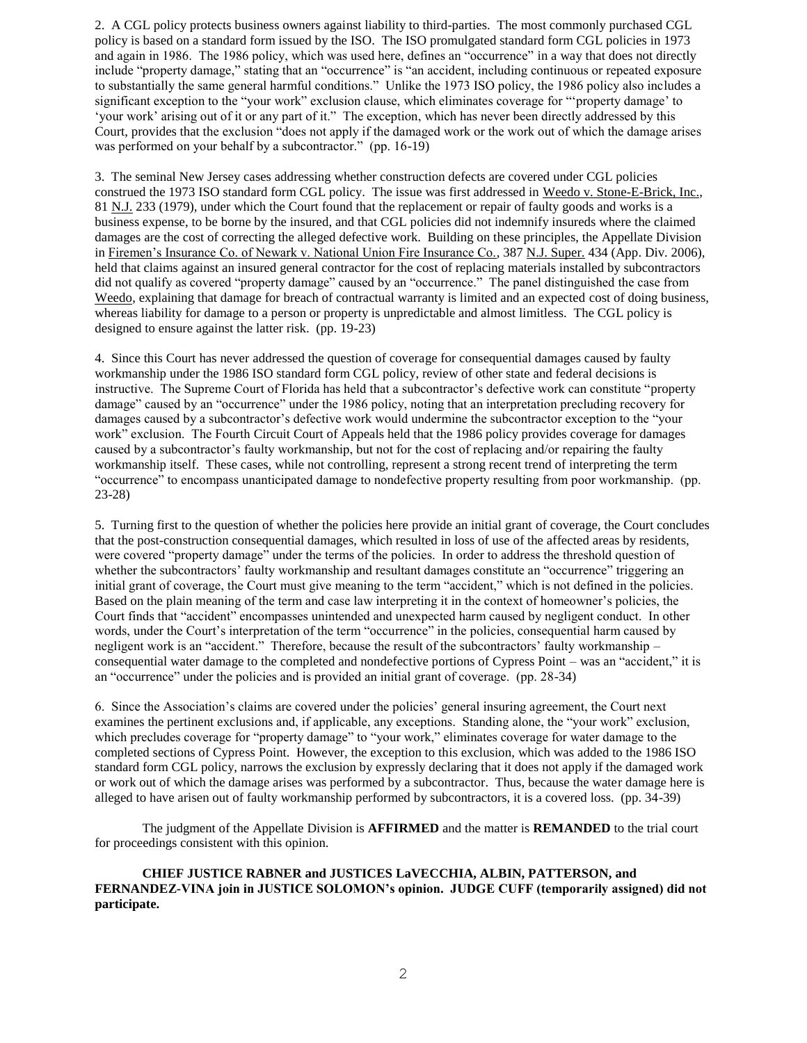2. A CGL policy protects business owners against liability to third-parties. The most commonly purchased CGL policy is based on a standard form issued by the ISO. The ISO promulgated standard form CGL policies in 1973 and again in 1986. The 1986 policy, which was used here, defines an "occurrence" in a way that does not directly include "property damage," stating that an "occurrence" is "an accident, including continuous or repeated exposure to substantially the same general harmful conditions." Unlike the 1973 ISO policy, the 1986 policy also includes a significant exception to the "your work" exclusion clause, which eliminates coverage for "'property damage' to 'your work' arising out of it or any part of it." The exception, which has never been directly addressed by this Court, provides that the exclusion "does not apply if the damaged work or the work out of which the damage arises was performed on your behalf by a subcontractor." (pp. 16-19)

3. The seminal New Jersey cases addressing whether construction defects are covered under CGL policies construed the 1973 ISO standard form CGL policy. The issue was first addressed in Weedo v. Stone-E-Brick, Inc., 81 N.J. 233 (1979), under which the Court found that the replacement or repair of faulty goods and works is a business expense, to be borne by the insured, and that CGL policies did not indemnify insureds where the claimed damages are the cost of correcting the alleged defective work. Building on these principles, the Appellate Division in Firemen's Insurance Co. of Newark v. National Union Fire Insurance Co., 387 N.J. Super. 434 (App. Div. 2006), held that claims against an insured general contractor for the cost of replacing materials installed by subcontractors did not qualify as covered "property damage" caused by an "occurrence." The panel distinguished the case from Weedo, explaining that damage for breach of contractual warranty is limited and an expected cost of doing business, whereas liability for damage to a person or property is unpredictable and almost limitless. The CGL policy is designed to ensure against the latter risk. (pp. 19-23)

4. Since this Court has never addressed the question of coverage for consequential damages caused by faulty workmanship under the 1986 ISO standard form CGL policy, review of other state and federal decisions is instructive. The Supreme Court of Florida has held that a subcontractor's defective work can constitute "property damage" caused by an "occurrence" under the 1986 policy, noting that an interpretation precluding recovery for damages caused by a subcontractor's defective work would undermine the subcontractor exception to the "your work" exclusion. The Fourth Circuit Court of Appeals held that the 1986 policy provides coverage for damages caused by a subcontractor's faulty workmanship, but not for the cost of replacing and/or repairing the faulty workmanship itself. These cases, while not controlling, represent a strong recent trend of interpreting the term "occurrence" to encompass unanticipated damage to nondefective property resulting from poor workmanship. (pp. 23-28)

5. Turning first to the question of whether the policies here provide an initial grant of coverage, the Court concludes that the post-construction consequential damages, which resulted in loss of use of the affected areas by residents, were covered "property damage" under the terms of the policies. In order to address the threshold question of whether the subcontractors' faulty workmanship and resultant damages constitute an "occurrence" triggering an initial grant of coverage, the Court must give meaning to the term "accident," which is not defined in the policies. Based on the plain meaning of the term and case law interpreting it in the context of homeowner's policies, the Court finds that "accident" encompasses unintended and unexpected harm caused by negligent conduct. In other words, under the Court's interpretation of the term "occurrence" in the policies, consequential harm caused by negligent work is an "accident." Therefore, because the result of the subcontractors' faulty workmanship – consequential water damage to the completed and nondefective portions of Cypress Point – was an "accident," it is an "occurrence" under the policies and is provided an initial grant of coverage. (pp. 28-34)

6. Since the Association's claims are covered under the policies' general insuring agreement, the Court next examines the pertinent exclusions and, if applicable, any exceptions. Standing alone, the "your work" exclusion, which precludes coverage for "property damage" to "your work," eliminates coverage for water damage to the completed sections of Cypress Point. However, the exception to this exclusion, which was added to the 1986 ISO standard form CGL policy, narrows the exclusion by expressly declaring that it does not apply if the damaged work or work out of which the damage arises was performed by a subcontractor. Thus, because the water damage here is alleged to have arisen out of faulty workmanship performed by subcontractors, it is a covered loss. (pp. 34-39)

The judgment of the Appellate Division is **AFFIRMED** and the matter is **REMANDED** to the trial court for proceedings consistent with this opinion.

**CHIEF JUSTICE RABNER and JUSTICES LaVECCHIA, ALBIN, PATTERSON, and FERNANDEZ-VINA join in JUSTICE SOLOMON's opinion. JUDGE CUFF (temporarily assigned) did not participate.**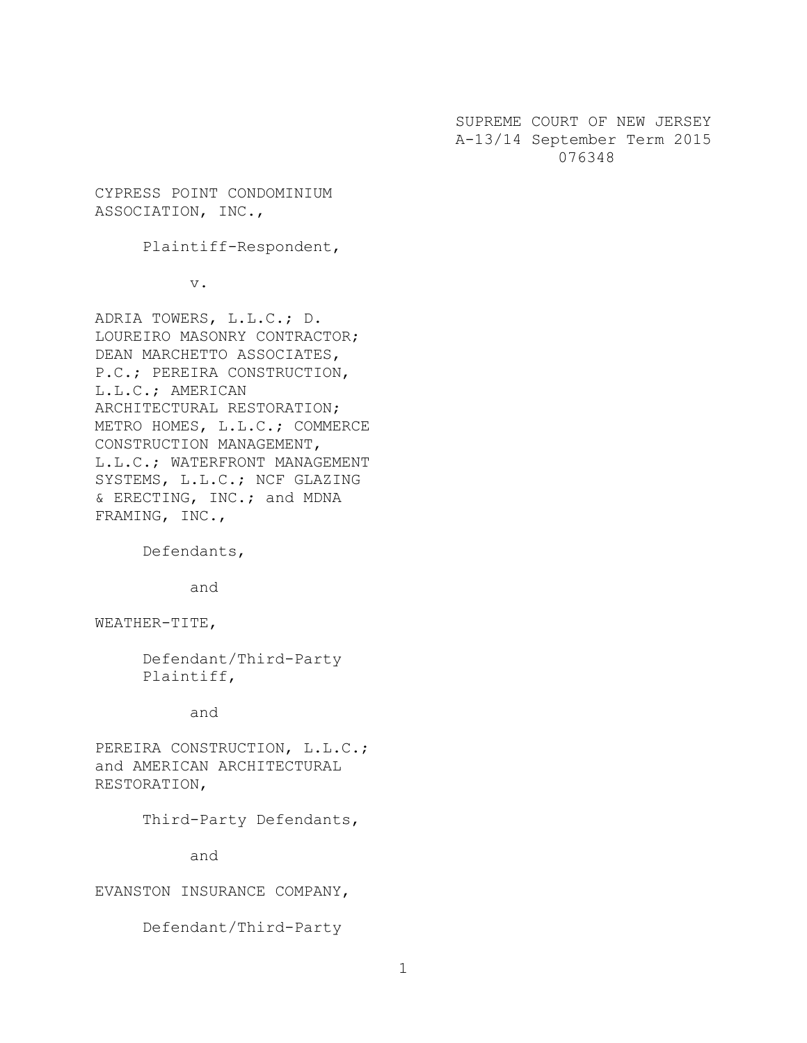SUPREME COURT OF NEW JERSEY A-13/14 September Term 2015 076348

CYPRESS POINT CONDOMINIUM ASSOCIATION, INC.,

Plaintiff-Respondent,

v.

ADRIA TOWERS, L.L.C.; D. LOUREIRO MASONRY CONTRACTOR; DEAN MARCHETTO ASSOCIATES, P.C.; PEREIRA CONSTRUCTION, L.L.C.; AMERICAN ARCHITECTURAL RESTORATION; METRO HOMES, L.L.C.; COMMERCE CONSTRUCTION MANAGEMENT, L.L.C.; WATERFRONT MANAGEMENT SYSTEMS, L.L.C.; NCF GLAZING & ERECTING, INC.; and MDNA FRAMING, INC.,

Defendants,

and

WEATHER-TITE,

Defendant/Third-Party Plaintiff,

and

PEREIRA CONSTRUCTION, L.L.C.; and AMERICAN ARCHITECTURAL RESTORATION,

Third-Party Defendants,

and

EVANSTON INSURANCE COMPANY,

Defendant/Third-Party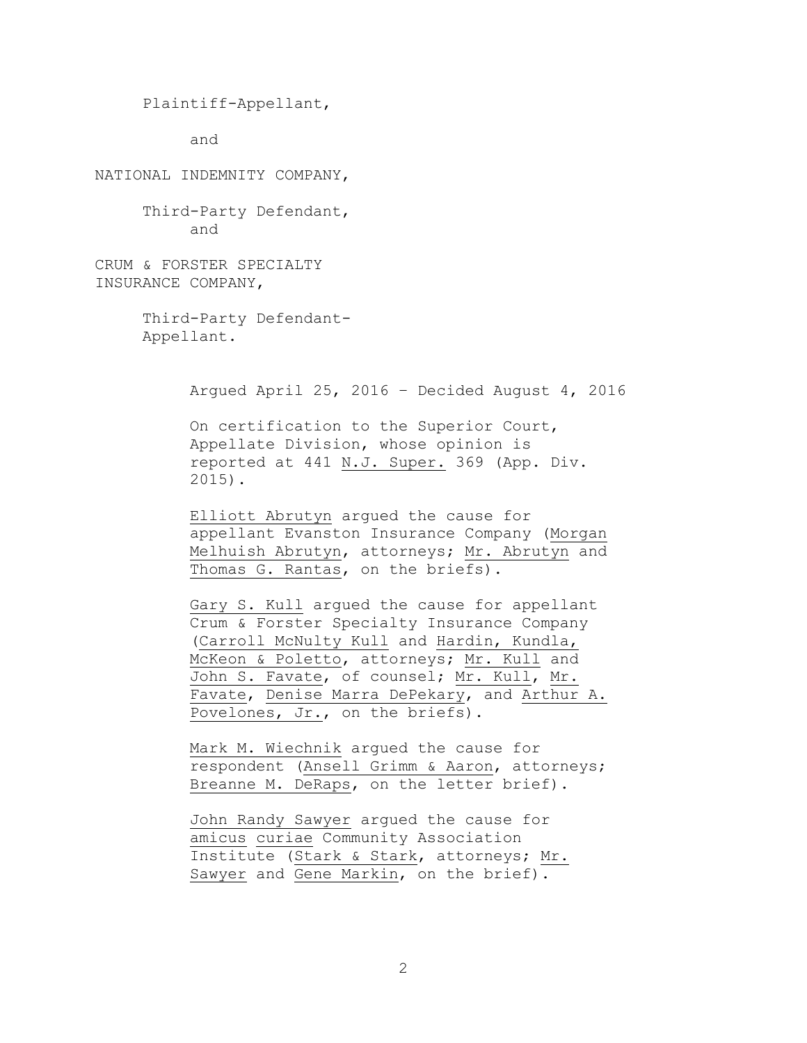```
Plaintiff-Appellant,
```
and

NATIONAL INDEMNITY COMPANY,

Third-Party Defendant, and

CRUM & FORSTER SPECIALTY INSURANCE COMPANY,

> Third-Party Defendant-Appellant.

> > Argued April 25, 2016 – Decided August 4, 2016

On certification to the Superior Court, Appellate Division, whose opinion is reported at 441 N.J. Super. 369 (App. Div. 2015).

Elliott Abrutyn argued the cause for appellant Evanston Insurance Company (Morgan Melhuish Abrutyn, attorneys; Mr. Abrutyn and Thomas G. Rantas, on the briefs).

Gary S. Kull argued the cause for appellant Crum & Forster Specialty Insurance Company (Carroll McNulty Kull and Hardin, Kundla, McKeon & Poletto, attorneys; Mr. Kull and John S. Favate, of counsel; Mr. Kull, Mr. Favate, Denise Marra DePekary, and Arthur A. Povelones, Jr., on the briefs).

Mark M. Wiechnik argued the cause for respondent (Ansell Grimm & Aaron, attorneys; Breanne M. DeRaps, on the letter brief).

John Randy Sawyer argued the cause for amicus curiae Community Association Institute (Stark & Stark, attorneys; Mr. Sawyer and Gene Markin, on the brief).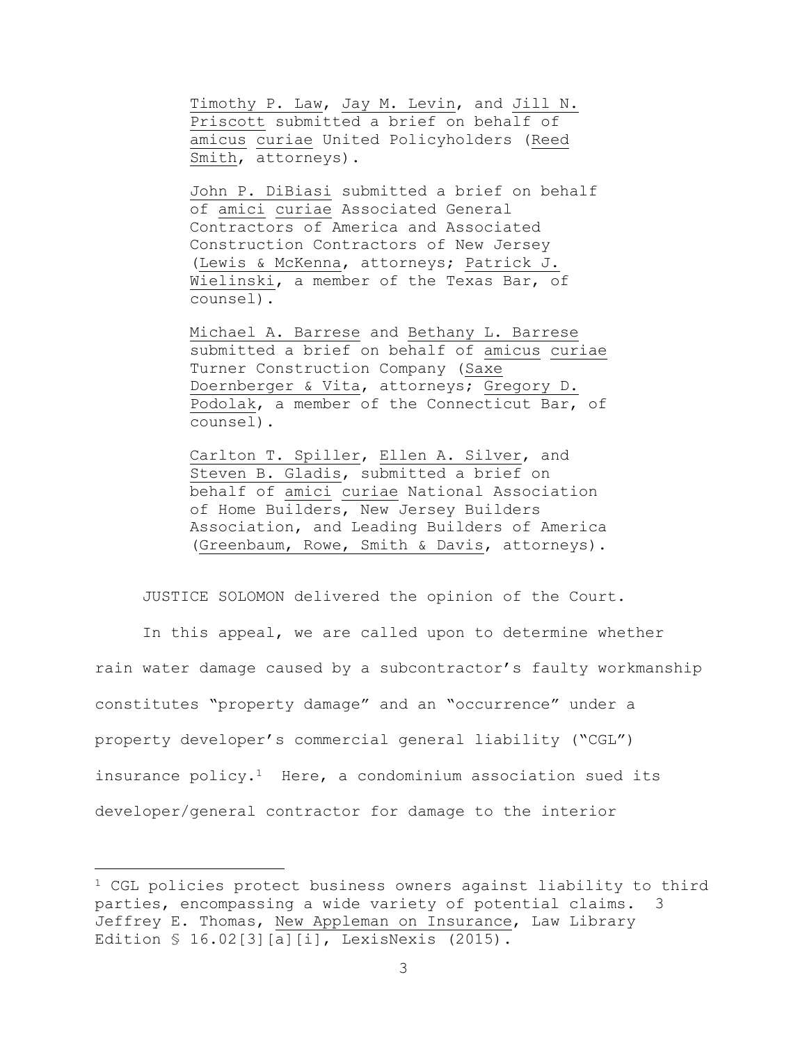Timothy P. Law, Jay M. Levin, and Jill N. Priscott submitted a brief on behalf of amicus curiae United Policyholders (Reed Smith, attorneys).

John P. DiBiasi submitted a brief on behalf of amici curiae Associated General Contractors of America and Associated Construction Contractors of New Jersey (Lewis & McKenna, attorneys; Patrick J. Wielinski, a member of the Texas Bar, of counsel).

Michael A. Barrese and Bethany L. Barrese submitted a brief on behalf of amicus curiae Turner Construction Company (Saxe Doernberger & Vita, attorneys; Gregory D. Podolak, a member of the Connecticut Bar, of counsel).

Carlton T. Spiller, Ellen A. Silver, and Steven B. Gladis, submitted a brief on behalf of amici curiae National Association of Home Builders, New Jersey Builders Association, and Leading Builders of America (Greenbaum, Rowe, Smith & Davis, attorneys).

JUSTICE SOLOMON delivered the opinion of the Court.

In this appeal, we are called upon to determine whether rain water damage caused by a subcontractor's faulty workmanship constitutes "property damage" and an "occurrence" under a property developer's commercial general liability ("CGL") insurance policy. $1$  Here, a condominium association sued its developer/general contractor for damage to the interior

a<br>B

<sup>1</sup> CGL policies protect business owners against liability to third parties, encompassing a wide variety of potential claims. Jeffrey E. Thomas, New Appleman on Insurance, Law Library Edition § 16.02[3][a][i], LexisNexis (2015).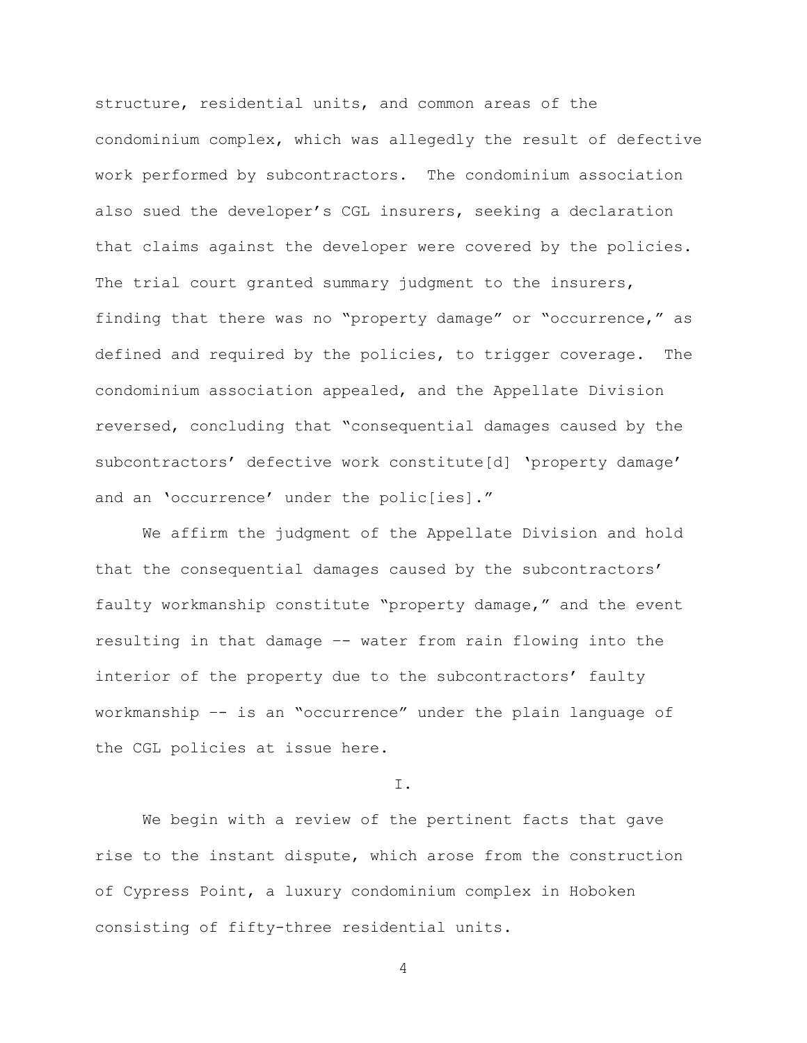structure, residential units, and common areas of the condominium complex, which was allegedly the result of defective work performed by subcontractors. The condominium association also sued the developer's CGL insurers, seeking a declaration that claims against the developer were covered by the policies. The trial court granted summary judgment to the insurers, finding that there was no "property damage" or "occurrence," as defined and required by the policies, to trigger coverage. The condominium association appealed, and the Appellate Division reversed, concluding that "consequential damages caused by the subcontractors' defective work constitute[d] 'property damage' and an 'occurrence' under the polic[ies]."

We affirm the judgment of the Appellate Division and hold that the consequential damages caused by the subcontractors' faulty workmanship constitute "property damage," and the event resulting in that damage –- water from rain flowing into the interior of the property due to the subcontractors' faulty workmanship –- is an "occurrence" under the plain language of the CGL policies at issue here.

I.

We begin with a review of the pertinent facts that gave rise to the instant dispute, which arose from the construction of Cypress Point, a luxury condominium complex in Hoboken consisting of fifty-three residential units.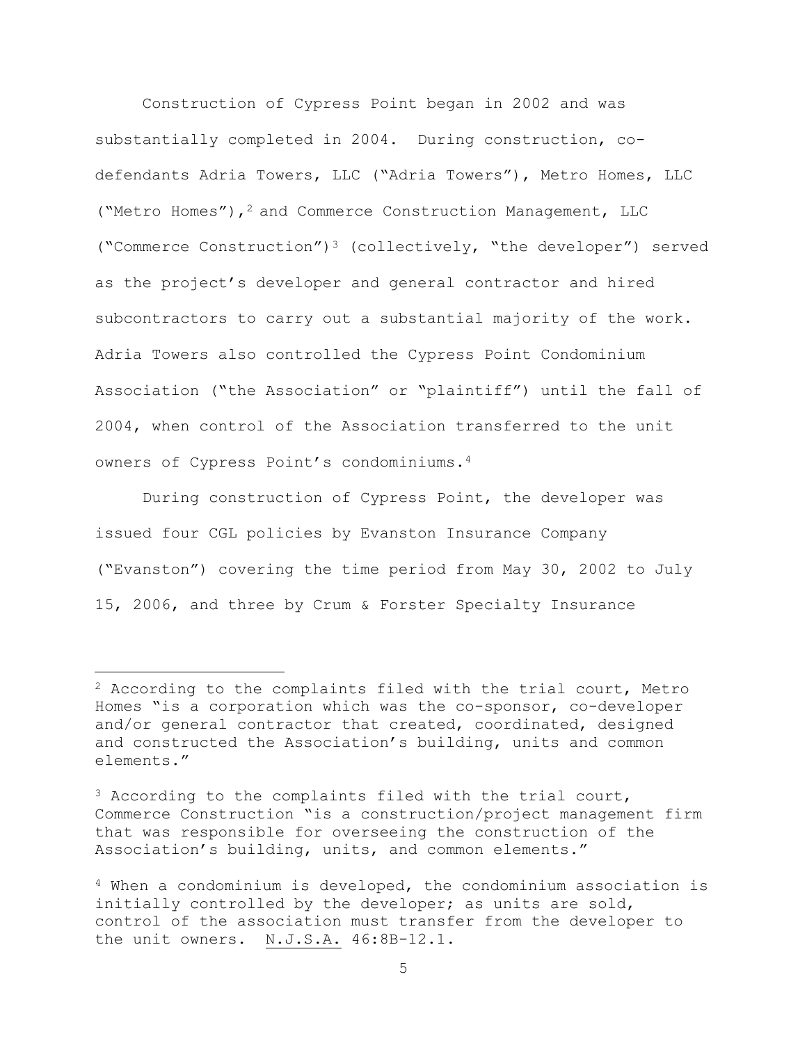Construction of Cypress Point began in 2002 and was substantially completed in 2004. During construction, codefendants Adria Towers, LLC ("Adria Towers"), Metro Homes, LLC ("Metro Homes"),<sup>2</sup> and Commerce Construction Management, LLC ("Commerce Construction")<sup>3</sup> (collectively, "the developer") served as the project's developer and general contractor and hired subcontractors to carry out a substantial majority of the work. Adria Towers also controlled the Cypress Point Condominium Association ("the Association" or "plaintiff") until the fall of 2004, when control of the Association transferred to the unit owners of Cypress Point's condominiums.<sup>4</sup>

During construction of Cypress Point, the developer was issued four CGL policies by Evanston Insurance Company ("Evanston") covering the time period from May 30, 2002 to July 15, 2006, and three by Crum & Forster Specialty Insurance

a<br>B

<sup>&</sup>lt;sup>2</sup> According to the complaints filed with the trial court, Metro Homes "is a corporation which was the co-sponsor, co-developer and/or general contractor that created, coordinated, designed and constructed the Association's building, units and common elements."

<sup>3</sup> According to the complaints filed with the trial court, Commerce Construction "is a construction/project management firm that was responsible for overseeing the construction of the Association's building, units, and common elements."

<sup>4</sup> When a condominium is developed, the condominium association is initially controlled by the developer; as units are sold, control of the association must transfer from the developer to the unit owners. N.J.S.A. 46:8B-12.1.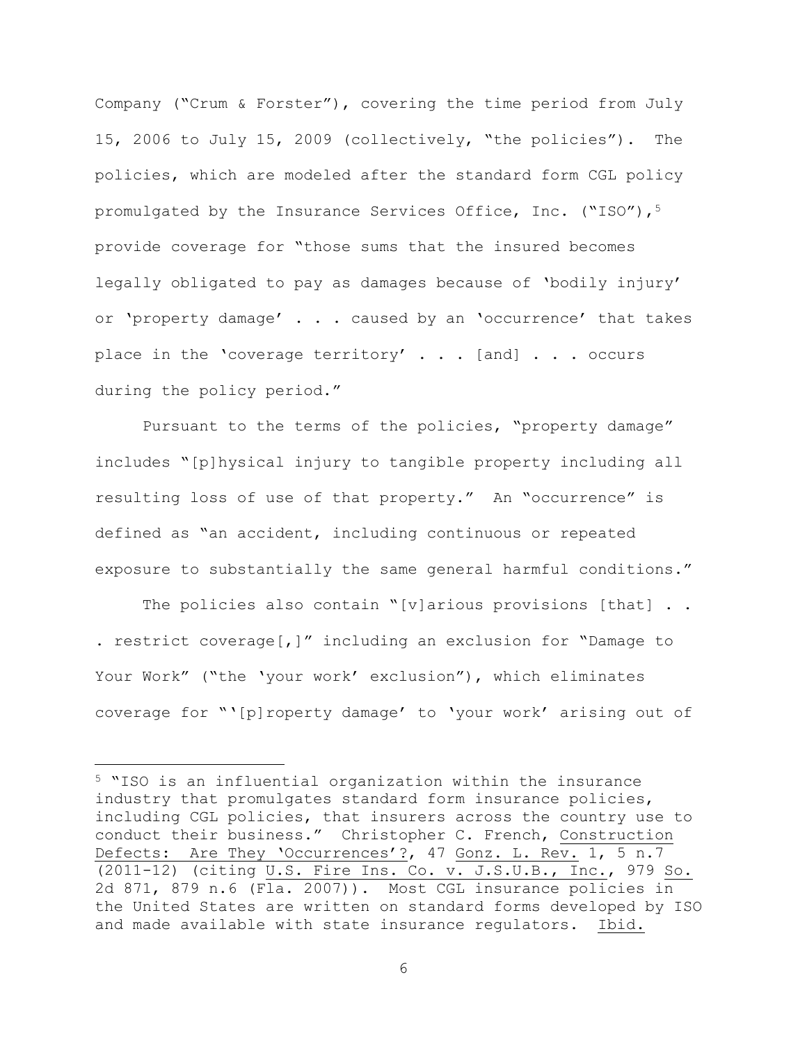Company ("Crum & Forster"), covering the time period from July 15, 2006 to July 15, 2009 (collectively, "the policies"). The policies, which are modeled after the standard form CGL policy promulgated by the Insurance Services Office, Inc.  $(\text{``ISO''})$ ,<sup>5</sup> provide coverage for "those sums that the insured becomes legally obligated to pay as damages because of 'bodily injury' or 'property damage' . . . caused by an 'occurrence' that takes place in the 'coverage territory' . . . [and] . . . occurs during the policy period."

Pursuant to the terms of the policies, "property damage" includes "[p]hysical injury to tangible property including all resulting loss of use of that property." An "occurrence" is defined as "an accident, including continuous or repeated exposure to substantially the same general harmful conditions."

The policies also contain "[v]arious provisions [that]  $\ldots$ . restrict coverage[,]" including an exclusion for "Damage to Your Work" ("the 'your work' exclusion"), which eliminates coverage for "'[p]roperty damage' to 'your work' arising out of

L,

<sup>5</sup> "ISO is an influential organization within the insurance industry that promulgates standard form insurance policies, including CGL policies, that insurers across the country use to conduct their business." Christopher C. French, Construction Defects: Are They 'Occurrences'?, 47 Gonz. L. Rev. 1, 5 n.7 (2011-12) (citing U.S. Fire Ins. Co. v. J.S.U.B., Inc., 979 So. 2d 871, 879 n.6 (Fla. 2007)). Most CGL insurance policies in the United States are written on standard forms developed by ISO and made available with state insurance regulators. Ibid.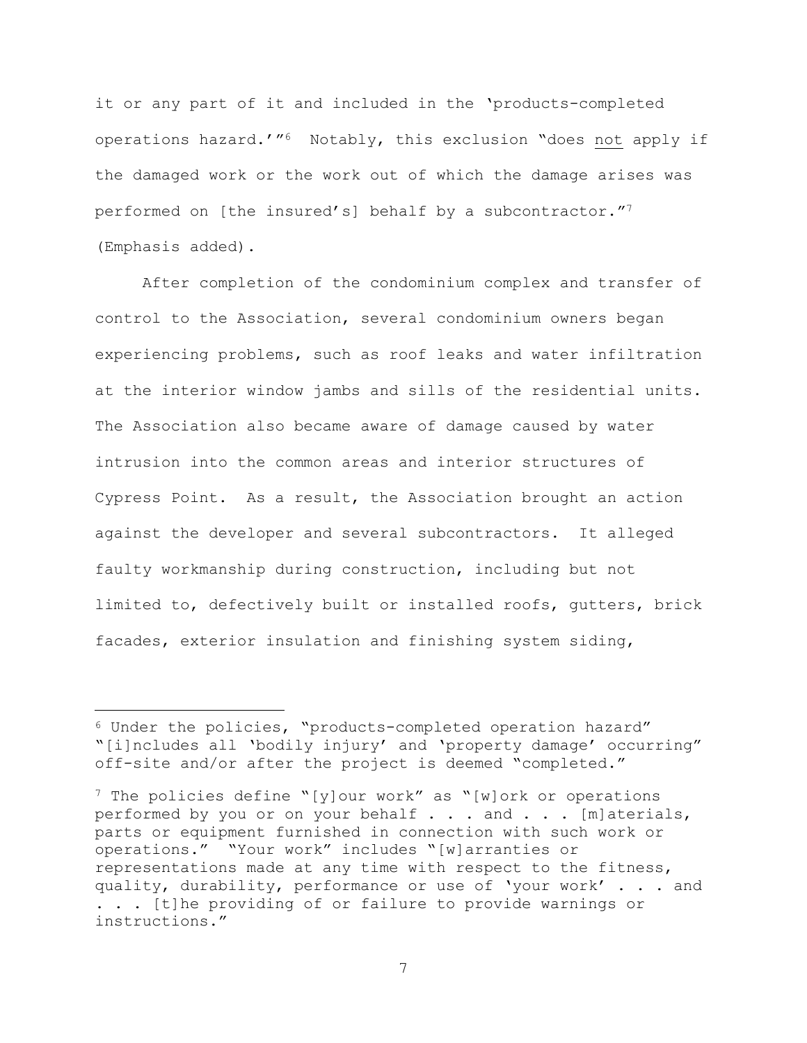it or any part of it and included in the 'products-completed operations hazard.'"<sup>6</sup> Notably, this exclusion "does not apply if the damaged work or the work out of which the damage arises was performed on [the insured's] behalf by a subcontractor."<sup>7</sup> (Emphasis added).

After completion of the condominium complex and transfer of control to the Association, several condominium owners began experiencing problems, such as roof leaks and water infiltration at the interior window jambs and sills of the residential units. The Association also became aware of damage caused by water intrusion into the common areas and interior structures of Cypress Point. As a result, the Association brought an action against the developer and several subcontractors. It alleged faulty workmanship during construction, including but not limited to, defectively built or installed roofs, gutters, brick facades, exterior insulation and finishing system siding,

a<br>B

<sup>6</sup> Under the policies, "products-completed operation hazard" "[i]ncludes all 'bodily injury' and 'property damage' occurring" off-site and/or after the project is deemed "completed."

 $7$  The policies define "[y]our work" as "[w]ork or operations performed by you or on your behalf . . . and . . . [m]aterials, parts or equipment furnished in connection with such work or operations." "Your work" includes "[w]arranties or representations made at any time with respect to the fitness, quality, durability, performance or use of 'your work' . . . and . . . [t]he providing of or failure to provide warnings or instructions."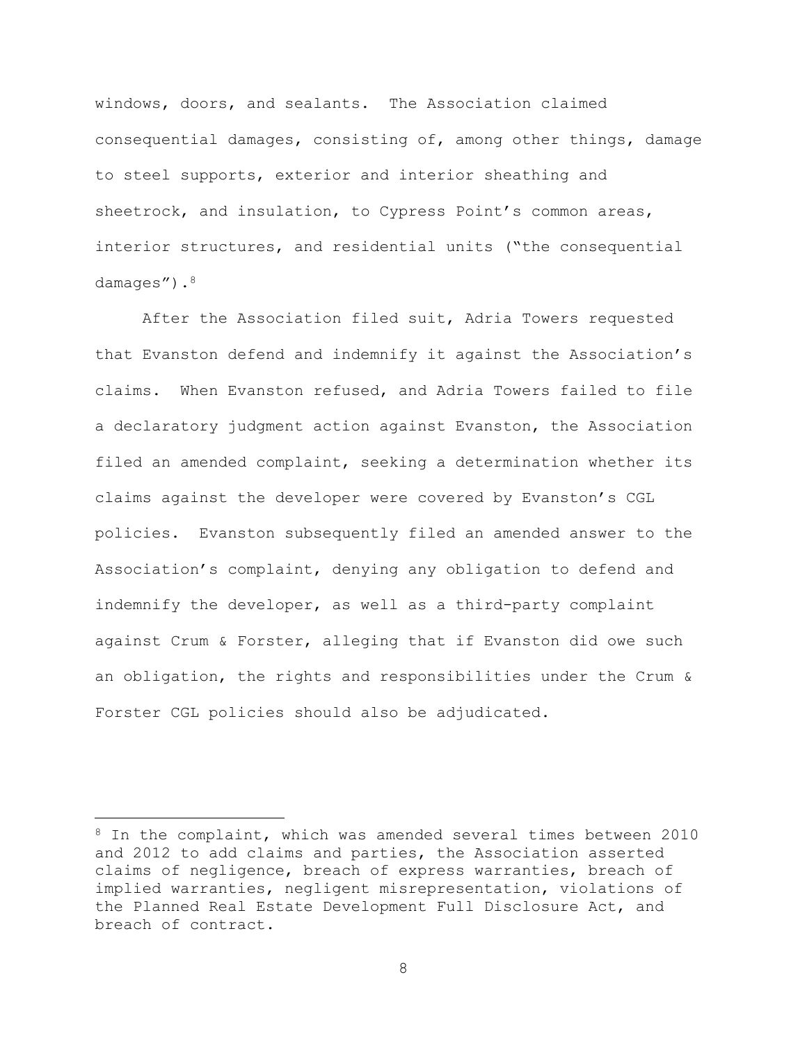windows, doors, and sealants. The Association claimed consequential damages, consisting of, among other things, damage to steel supports, exterior and interior sheathing and sheetrock, and insulation, to Cypress Point's common areas, interior structures, and residential units ("the consequential damages").<sup>8</sup>

After the Association filed suit, Adria Towers requested that Evanston defend and indemnify it against the Association's claims. When Evanston refused, and Adria Towers failed to file a declaratory judgment action against Evanston, the Association filed an amended complaint, seeking a determination whether its claims against the developer were covered by Evanston's CGL policies. Evanston subsequently filed an amended answer to the Association's complaint, denying any obligation to defend and indemnify the developer, as well as a third-party complaint against Crum & Forster, alleging that if Evanston did owe such an obligation, the rights and responsibilities under the Crum & Forster CGL policies should also be adjudicated.

i<br>L

<sup>&</sup>lt;sup>8</sup> In the complaint, which was amended several times between 2010 and 2012 to add claims and parties, the Association asserted claims of negligence, breach of express warranties, breach of implied warranties, negligent misrepresentation, violations of the Planned Real Estate Development Full Disclosure Act, and breach of contract.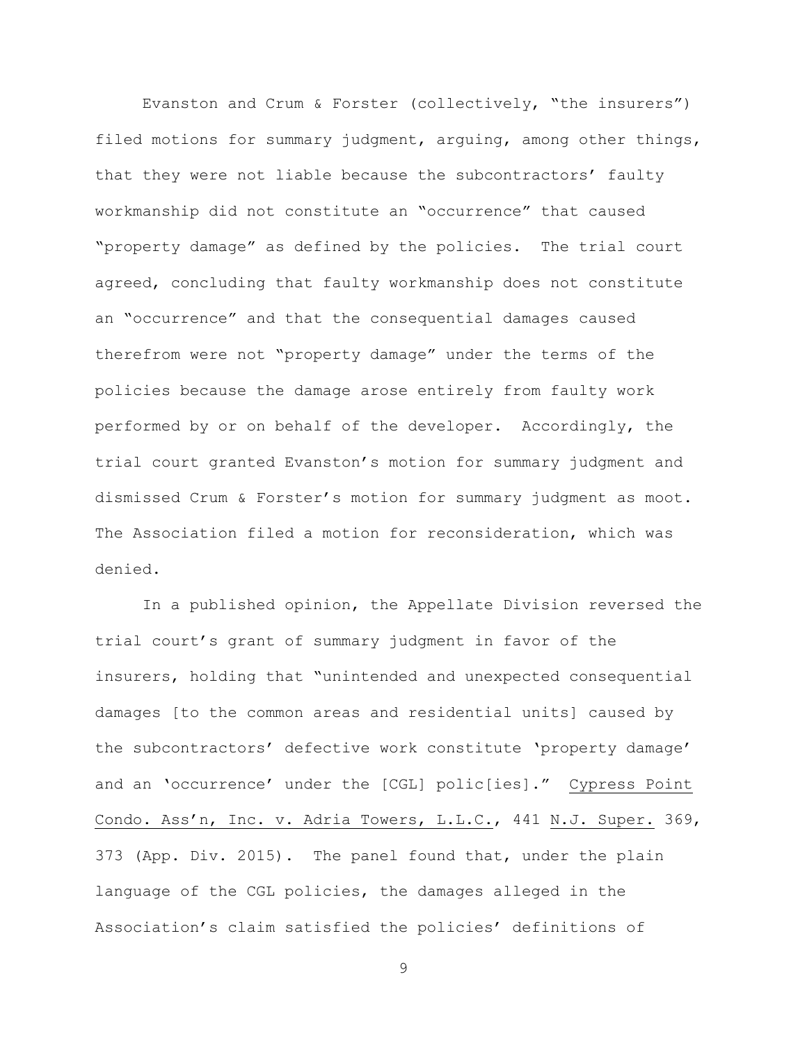Evanston and Crum & Forster (collectively, "the insurers") filed motions for summary judgment, arguing, among other things, that they were not liable because the subcontractors' faulty workmanship did not constitute an "occurrence" that caused "property damage" as defined by the policies. The trial court agreed, concluding that faulty workmanship does not constitute an "occurrence" and that the consequential damages caused therefrom were not "property damage" under the terms of the policies because the damage arose entirely from faulty work performed by or on behalf of the developer. Accordingly, the trial court granted Evanston's motion for summary judgment and dismissed Crum & Forster's motion for summary judgment as moot. The Association filed a motion for reconsideration, which was denied.

In a published opinion, the Appellate Division reversed the trial court's grant of summary judgment in favor of the insurers, holding that "unintended and unexpected consequential damages [to the common areas and residential units] caused by the subcontractors' defective work constitute 'property damage' and an 'occurrence' under the [CGL] polic[ies]." Cypress Point Condo. Ass'n, Inc. v. Adria Towers, L.L.C., 441 N.J. Super. 369, 373 (App. Div. 2015). The panel found that, under the plain language of the CGL policies, the damages alleged in the Association's claim satisfied the policies' definitions of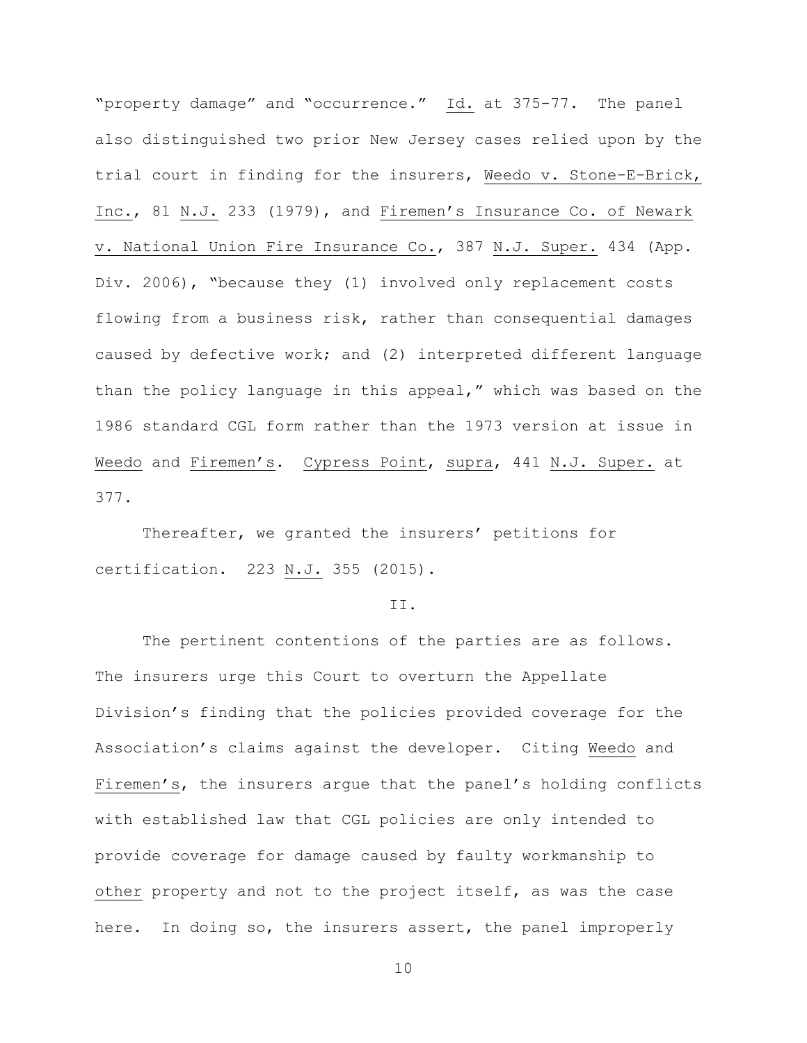"property damage" and "occurrence." Id. at 375-77. The panel also distinguished two prior New Jersey cases relied upon by the trial court in finding for the insurers, Weedo v. Stone-E-Brick, Inc., 81 N.J. 233 (1979), and Firemen's Insurance Co. of Newark v. National Union Fire Insurance Co., 387 N.J. Super. 434 (App. Div. 2006), "because they (1) involved only replacement costs flowing from a business risk, rather than consequential damages caused by defective work; and (2) interpreted different language than the policy language in this appeal," which was based on the 1986 standard CGL form rather than the 1973 version at issue in Weedo and Firemen's. Cypress Point, supra, 441 N.J. Super. at 377.

Thereafter, we granted the insurers' petitions for certification. 223  $M$ .J. 355 (2015).

#### II.

The pertinent contentions of the parties are as follows. The insurers urge this Court to overturn the Appellate Division's finding that the policies provided coverage for the Association's claims against the developer. Citing Weedo and Firemen's, the insurers argue that the panel's holding conflicts with established law that CGL policies are only intended to provide coverage for damage caused by faulty workmanship to other property and not to the project itself, as was the case here. In doing so, the insurers assert, the panel improperly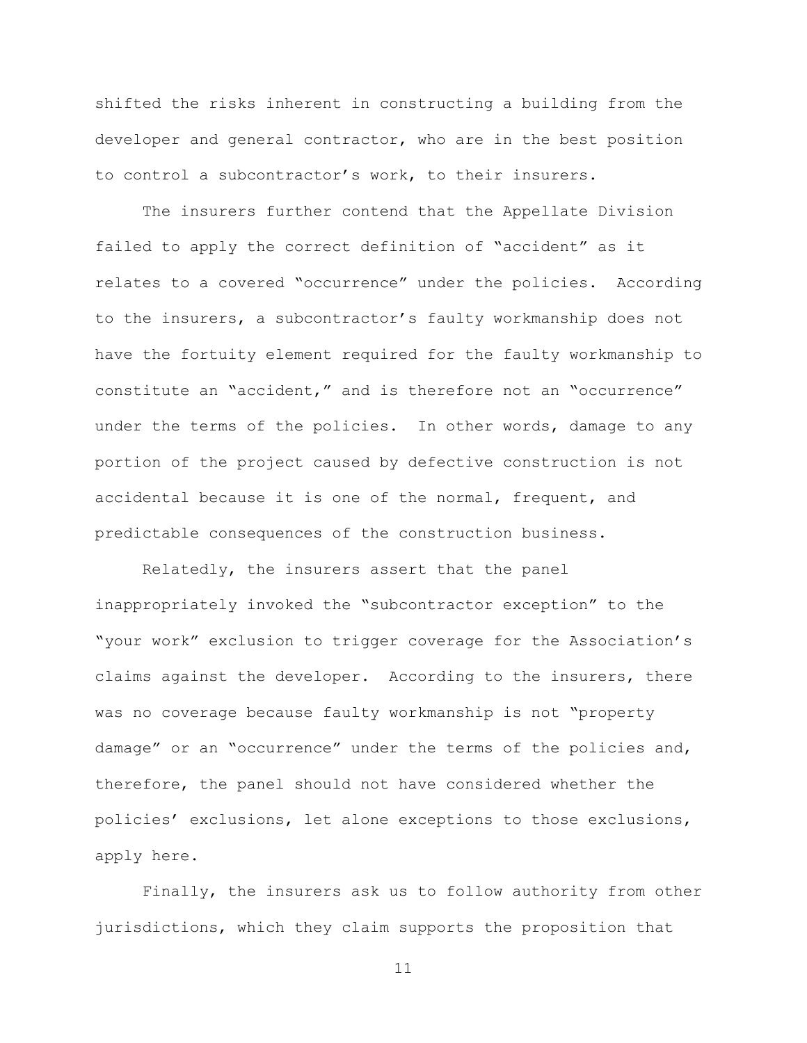shifted the risks inherent in constructing a building from the developer and general contractor, who are in the best position to control a subcontractor's work, to their insurers.

The insurers further contend that the Appellate Division failed to apply the correct definition of "accident" as it relates to a covered "occurrence" under the policies. According to the insurers, a subcontractor's faulty workmanship does not have the fortuity element required for the faulty workmanship to constitute an "accident," and is therefore not an "occurrence" under the terms of the policies. In other words, damage to any portion of the project caused by defective construction is not accidental because it is one of the normal, frequent, and predictable consequences of the construction business.

Relatedly, the insurers assert that the panel inappropriately invoked the "subcontractor exception" to the "your work" exclusion to trigger coverage for the Association's claims against the developer. According to the insurers, there was no coverage because faulty workmanship is not "property damage" or an "occurrence" under the terms of the policies and, therefore, the panel should not have considered whether the policies' exclusions, let alone exceptions to those exclusions, apply here.

Finally, the insurers ask us to follow authority from other jurisdictions, which they claim supports the proposition that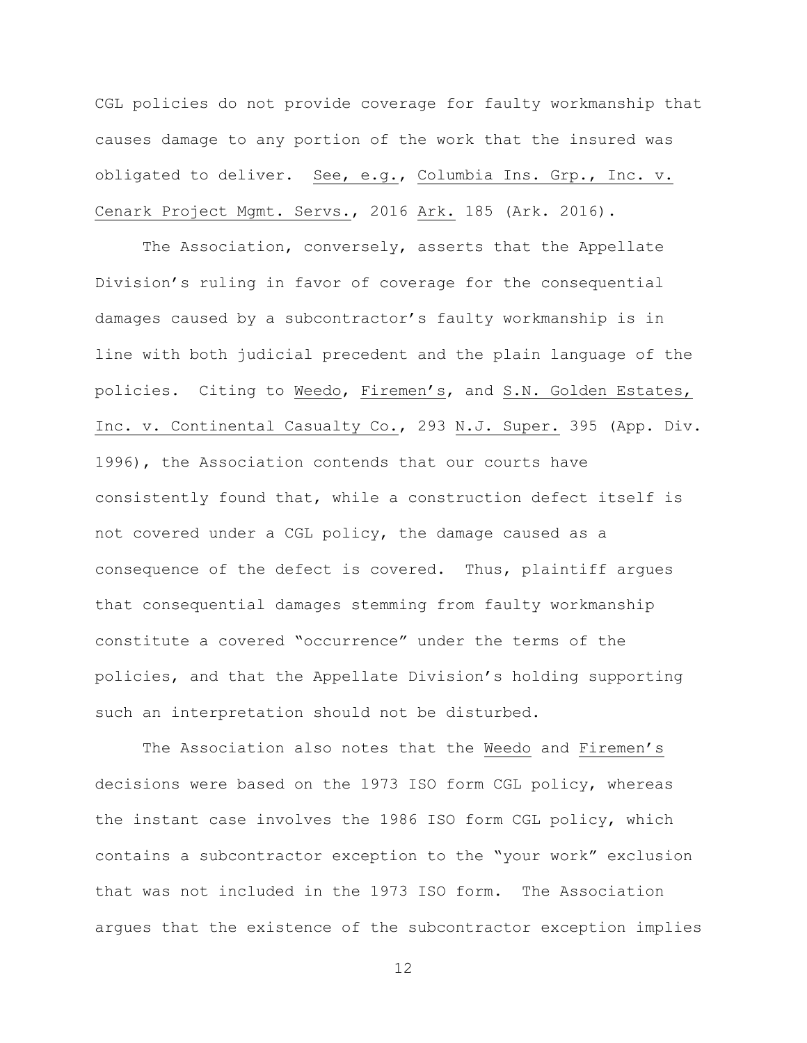CGL policies do not provide coverage for faulty workmanship that causes damage to any portion of the work that the insured was obligated to deliver. See, e.g., Columbia Ins. Grp., Inc. v. Cenark Project Mgmt. Servs., 2016 Ark. 185 (Ark. 2016).

The Association, conversely, asserts that the Appellate Division's ruling in favor of coverage for the consequential damages caused by a subcontractor's faulty workmanship is in line with both judicial precedent and the plain language of the policies. Citing to Weedo, Firemen's, and S.N. Golden Estates, Inc. v. Continental Casualty Co., 293 N.J. Super. 395 (App. Div. 1996), the Association contends that our courts have consistently found that, while a construction defect itself is not covered under a CGL policy, the damage caused as a consequence of the defect is covered. Thus, plaintiff argues that consequential damages stemming from faulty workmanship constitute a covered "occurrence" under the terms of the policies, and that the Appellate Division's holding supporting such an interpretation should not be disturbed.

The Association also notes that the Weedo and Firemen's decisions were based on the 1973 ISO form CGL policy, whereas the instant case involves the 1986 ISO form CGL policy, which contains a subcontractor exception to the "your work" exclusion that was not included in the 1973 ISO form. The Association argues that the existence of the subcontractor exception implies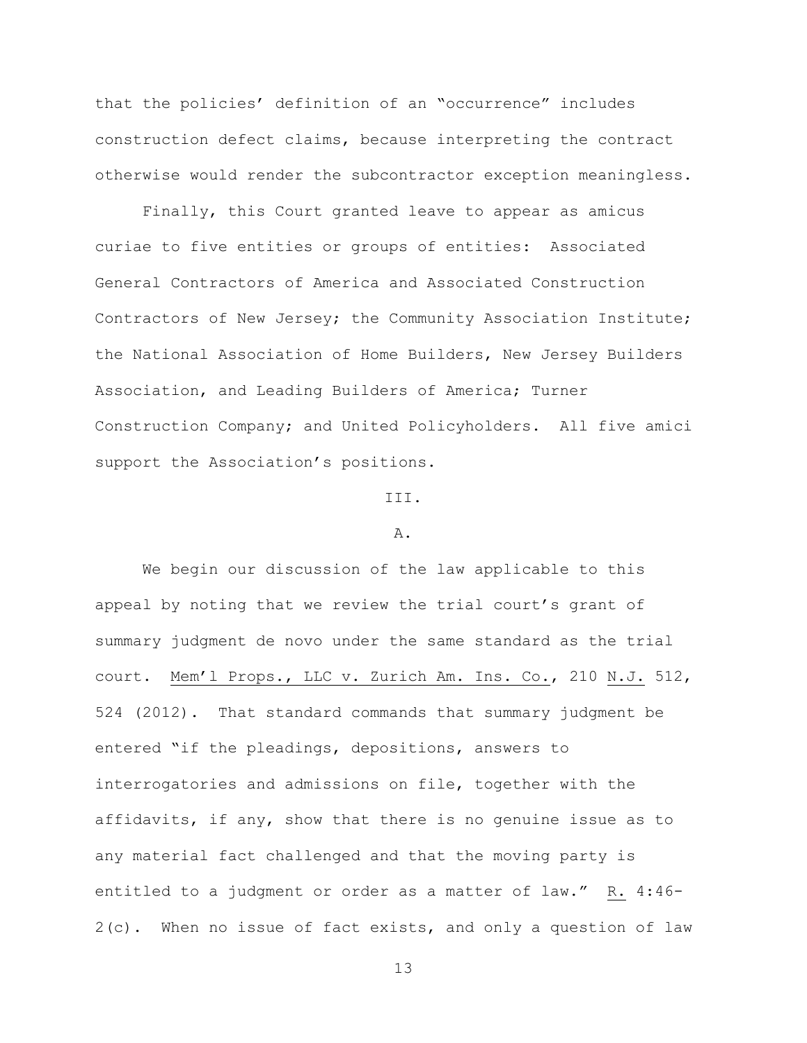that the policies' definition of an "occurrence" includes construction defect claims, because interpreting the contract otherwise would render the subcontractor exception meaningless.

Finally, this Court granted leave to appear as amicus curiae to five entities or groups of entities: Associated General Contractors of America and Associated Construction Contractors of New Jersey; the Community Association Institute; the National Association of Home Builders, New Jersey Builders Association, and Leading Builders of America; Turner Construction Company; and United Policyholders. All five amici support the Association's positions.

# III.

#### A.

We begin our discussion of the law applicable to this appeal by noting that we review the trial court's grant of summary judgment de novo under the same standard as the trial court. Mem'l Props., LLC v. Zurich Am. Ins. Co., 210 N.J. 512, 524 (2012). That standard commands that summary judgment be entered "if the pleadings, depositions, answers to interrogatories and admissions on file, together with the affidavits, if any, show that there is no genuine issue as to any material fact challenged and that the moving party is entitled to a judgment or order as a matter of law." R. 4:46- 2(c). When no issue of fact exists, and only a question of law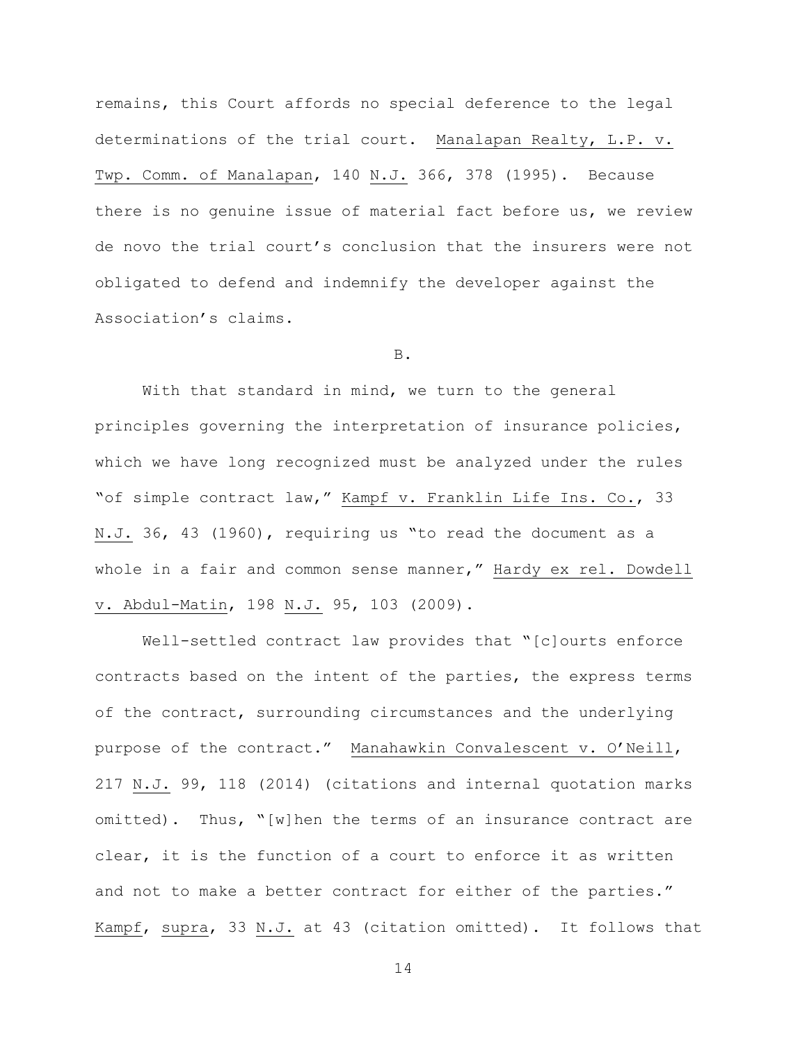remains, this Court affords no special deference to the legal determinations of the trial court. Manalapan Realty, L.P. v. Twp. Comm. of Manalapan, 140 N.J. 366, 378 (1995). Because there is no genuine issue of material fact before us, we review de novo the trial court's conclusion that the insurers were not obligated to defend and indemnify the developer against the Association's claims.

# B.

With that standard in mind, we turn to the general principles governing the interpretation of insurance policies, which we have long recognized must be analyzed under the rules "of simple contract law," Kampf v. Franklin Life Ins. Co., 33 N.J. 36, 43 (1960), requiring us "to read the document as a whole in a fair and common sense manner," Hardy ex rel. Dowdell v. Abdul-Matin, 198 N.J. 95, 103 (2009).

Well-settled contract law provides that "[c]ourts enforce contracts based on the intent of the parties, the express terms of the contract, surrounding circumstances and the underlying purpose of the contract." Manahawkin Convalescent v. O'Neill, 217 N.J. 99, 118 (2014) (citations and internal quotation marks omitted). Thus, "[w]hen the terms of an insurance contract are clear, it is the function of a court to enforce it as written and not to make a better contract for either of the parties." Kampf, supra, 33 N.J. at 43 (citation omitted). It follows that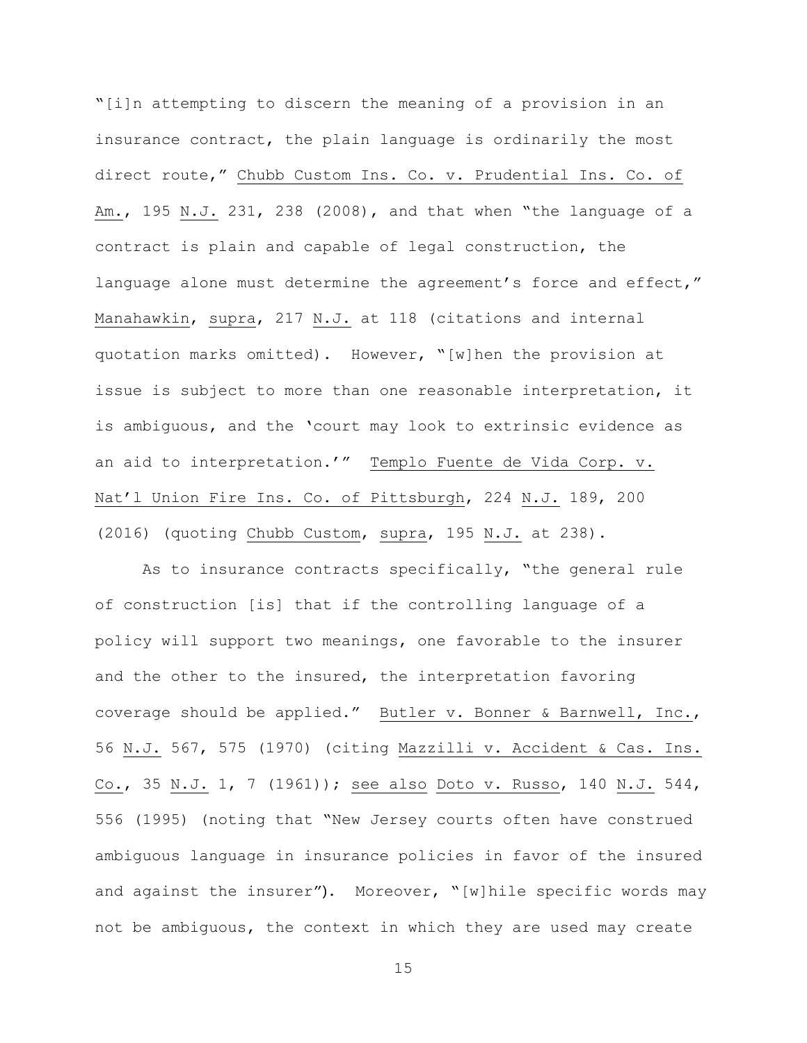"[i]n attempting to discern the meaning of a provision in an insurance contract, the plain language is ordinarily the most direct route," Chubb Custom Ins. Co. v. Prudential Ins. Co. of Am., 195 N.J. 231, 238 (2008), and that when "the language of a contract is plain and capable of legal construction, the language alone must determine the agreement's force and effect," Manahawkin, supra, 217 N.J. at 118 (citations and internal quotation marks omitted). However, "[w]hen the provision at issue is subject to more than one reasonable interpretation, it is ambiguous, and the 'court may look to extrinsic evidence as an aid to interpretation.'" Templo Fuente de Vida Corp. v. Nat'l Union Fire Ins. Co. of Pittsburgh, 224 N.J. 189, 200 (2016) (quoting Chubb Custom, supra, 195 N.J. at 238).

As to insurance contracts specifically, "the general rule of construction [is] that if the controlling language of a policy will support two meanings, one favorable to the insurer and the other to the insured, the interpretation favoring coverage should be applied." Butler v. Bonner & Barnwell, Inc., 56 N.J. 567, 575 (1970) (citing Mazzilli v. Accident & Cas. Ins. Co., 35 N.J. 1, 7 (1961)); see also Doto v. Russo, 140 N.J. 544, 556 (1995) (noting that "New Jersey courts often have construed ambiguous language in insurance policies in favor of the insured and against the insurer"). Moreover, "[w]hile specific words may not be ambiguous, the context in which they are used may create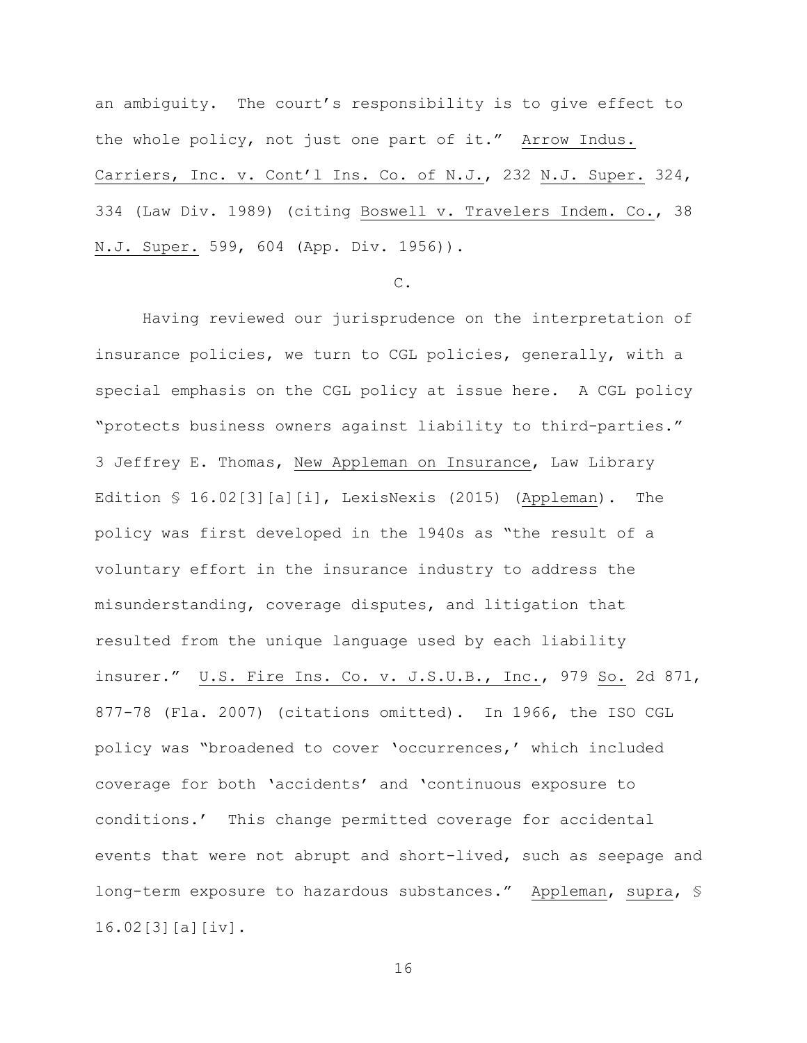an ambiguity. The court's responsibility is to give effect to the whole policy, not just one part of it." Arrow Indus. Carriers, Inc. v. Cont'l Ins. Co. of N.J., 232 N.J. Super. 324, 334 (Law Div. 1989) (citing Boswell v. Travelers Indem. Co., 38 N.J. Super. 599, 604 (App. Div. 1956)).

# C.

Having reviewed our jurisprudence on the interpretation of insurance policies, we turn to CGL policies, generally, with a special emphasis on the CGL policy at issue here. A CGL policy "protects business owners against liability to third-parties." 3 Jeffrey E. Thomas, New Appleman on Insurance, Law Library Edition § 16.02[3][a][i], LexisNexis (2015) (Appleman). The policy was first developed in the 1940s as "the result of a voluntary effort in the insurance industry to address the misunderstanding, coverage disputes, and litigation that resulted from the unique language used by each liability insurer." U.S. Fire Ins. Co. v. J.S.U.B., Inc., 979 So. 2d 871, 877-78 (Fla. 2007) (citations omitted). In 1966, the ISO CGL policy was "broadened to cover 'occurrences,' which included coverage for both 'accidents' and 'continuous exposure to conditions.' This change permitted coverage for accidental events that were not abrupt and short-lived, such as seepage and long-term exposure to hazardous substances." Appleman, supra, § 16.02[3][a][iv].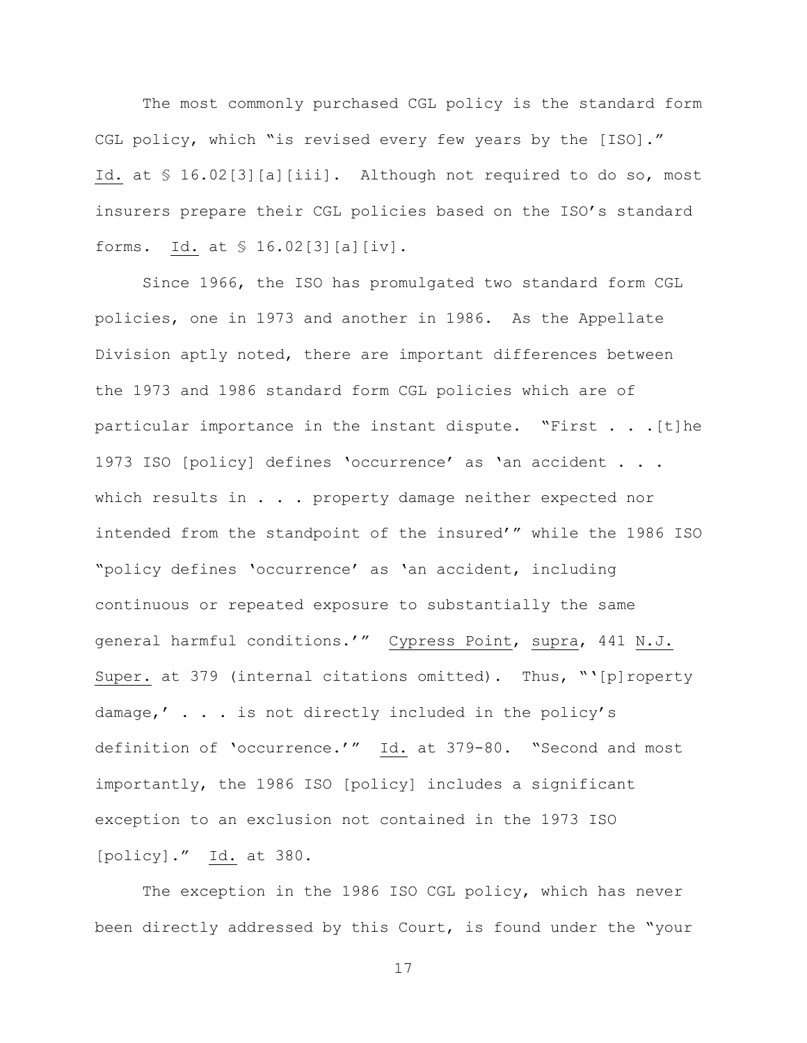The most commonly purchased CGL policy is the standard form CGL policy, which "is revised every few years by the [ISO]." Id. at § 16.02[3][a][iii]. Although not required to do so, most insurers prepare their CGL policies based on the ISO's standard forms. Id. at § 16.02[3][a][iv].

Since 1966, the ISO has promulgated two standard form CGL policies, one in 1973 and another in 1986. As the Appellate Division aptly noted, there are important differences between the 1973 and 1986 standard form CGL policies which are of particular importance in the instant dispute. "First . . .[t]he 1973 ISO [policy] defines 'occurrence' as 'an accident . . . which results in . . . property damage neither expected nor intended from the standpoint of the insured'" while the 1986 ISO "policy defines 'occurrence' as 'an accident, including continuous or repeated exposure to substantially the same general harmful conditions.'" Cypress Point, supra, 441 N.J. Super. at 379 (internal citations omitted). Thus, "'[p]roperty damage,' . . . is not directly included in the policy's definition of 'occurrence.'" Id. at 379-80. "Second and most importantly, the 1986 ISO [policy] includes a significant exception to an exclusion not contained in the 1973 ISO [policy]." Id. at 380.

The exception in the 1986 ISO CGL policy, which has never been directly addressed by this Court, is found under the "your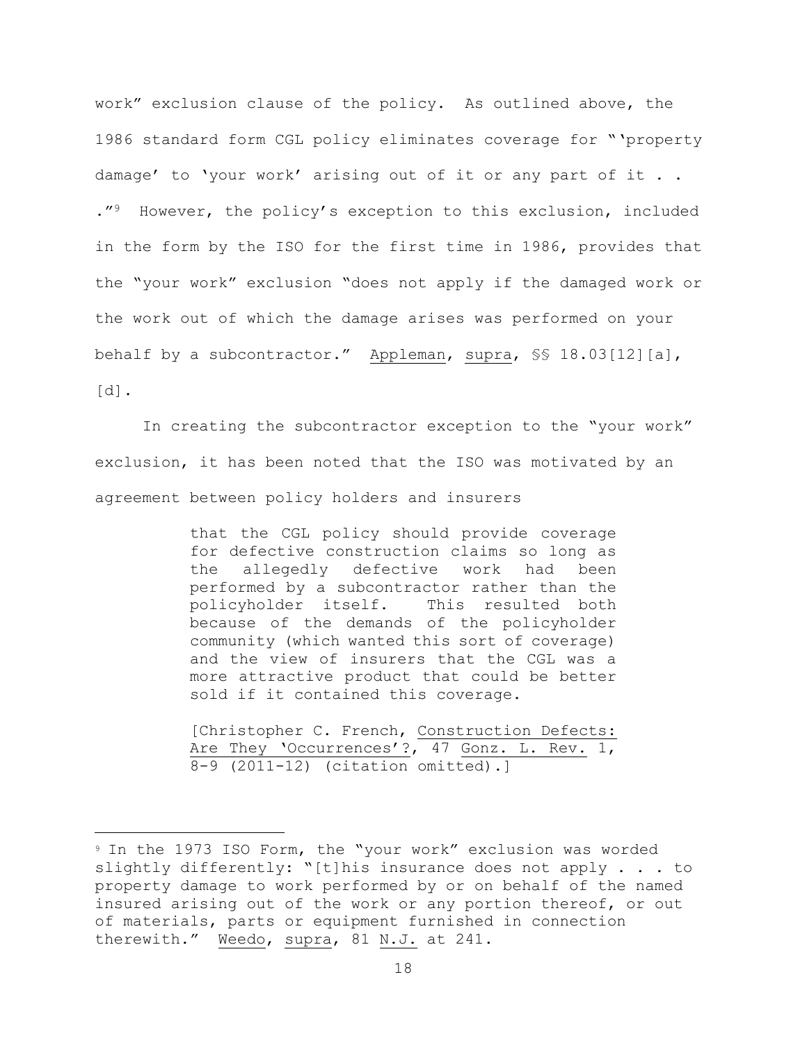work" exclusion clause of the policy. As outlined above, the 1986 standard form CGL policy eliminates coverage for "'property damage' to 'your work' arising out of it or any part of it . . ."9 However, the policy's exception to this exclusion, included in the form by the ISO for the first time in 1986, provides that the "your work" exclusion "does not apply if the damaged work or the work out of which the damage arises was performed on your behalf by a subcontractor." Appleman, supra, §§ 18.03[12][a], [d].

In creating the subcontractor exception to the "your work" exclusion, it has been noted that the ISO was motivated by an agreement between policy holders and insurers

> that the CGL policy should provide coverage for defective construction claims so long as the allegedly defective work had been performed by a subcontractor rather than the policyholder itself. This resulted both because of the demands of the policyholder community (which wanted this sort of coverage) and the view of insurers that the CGL was a more attractive product that could be better sold if it contained this coverage.

> [Christopher C. French, Construction Defects: Are They 'Occurrences'?, 47 Gonz. L. Rev. 1, 8-9 (2011-12) (citation omitted).]

L,

<sup>9</sup> In the 1973 ISO Form, the "your work" exclusion was worded slightly differently: "[t]his insurance does not apply . . . to property damage to work performed by or on behalf of the named insured arising out of the work or any portion thereof, or out of materials, parts or equipment furnished in connection therewith." Weedo, supra, 81 N.J. at 241.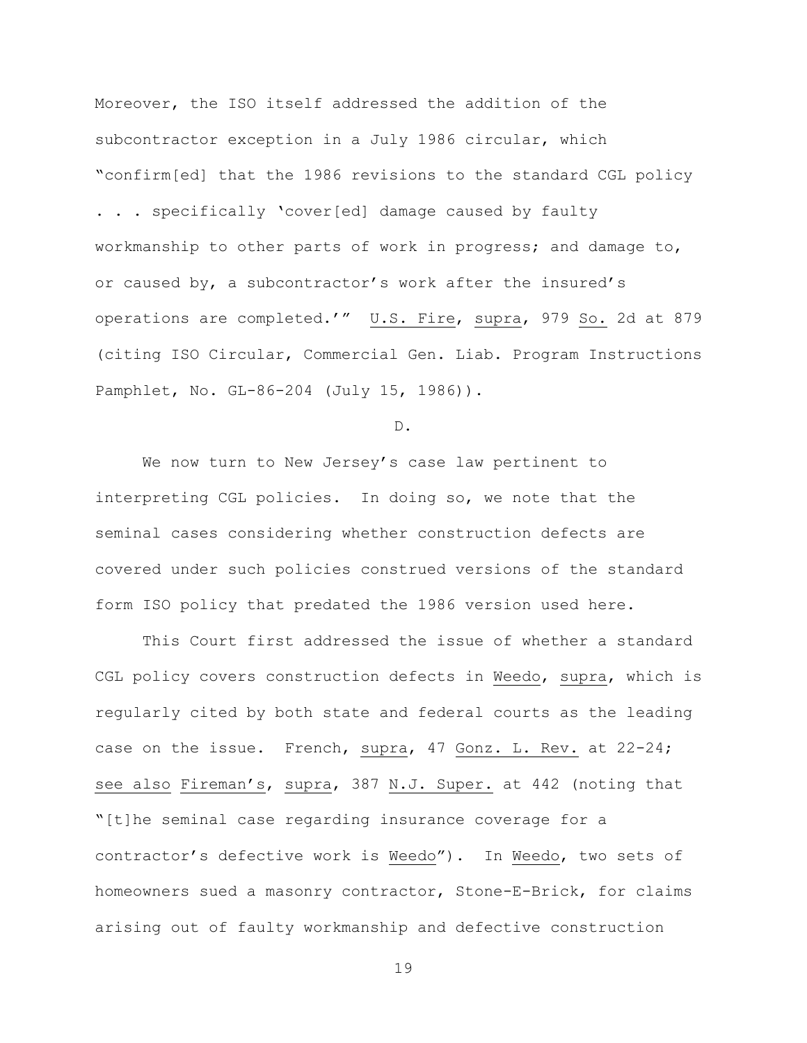Moreover, the ISO itself addressed the addition of the subcontractor exception in a July 1986 circular, which "confirm[ed] that the 1986 revisions to the standard CGL policy

. . . specifically 'cover[ed] damage caused by faulty workmanship to other parts of work in progress; and damage to, or caused by, a subcontractor's work after the insured's operations are completed.'" U.S. Fire, supra, 979 So. 2d at 879 (citing ISO Circular, Commercial Gen. Liab. Program Instructions Pamphlet, No. GL-86-204 (July 15, 1986)).

D.

We now turn to New Jersey's case law pertinent to interpreting CGL policies. In doing so, we note that the seminal cases considering whether construction defects are covered under such policies construed versions of the standard form ISO policy that predated the 1986 version used here.

This Court first addressed the issue of whether a standard CGL policy covers construction defects in Weedo, supra, which is regularly cited by both state and federal courts as the leading case on the issue. French, supra, 47 Gonz. L. Rev. at 22-24; see also Fireman's, supra, 387 N.J. Super. at 442 (noting that "[t]he seminal case regarding insurance coverage for a contractor's defective work is Weedo"). In Weedo, two sets of homeowners sued a masonry contractor, Stone-E-Brick, for claims arising out of faulty workmanship and defective construction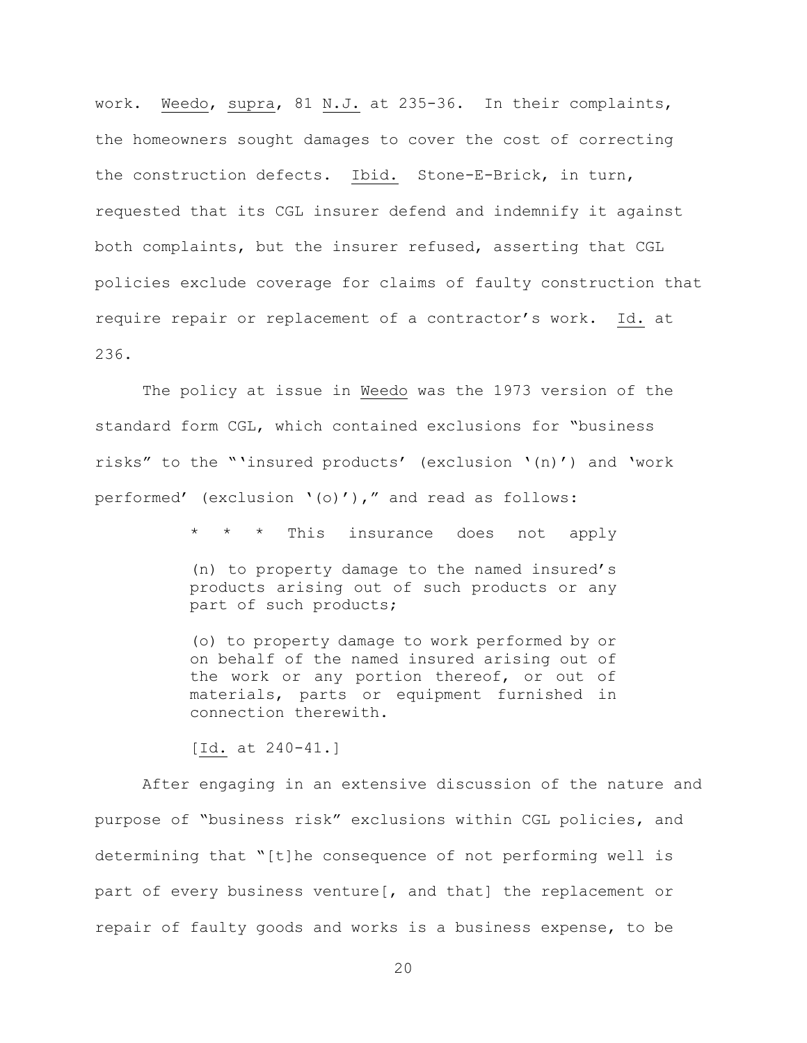work. Weedo, supra, 81 N.J. at 235-36. In their complaints, the homeowners sought damages to cover the cost of correcting the construction defects. Ibid. Stone-E-Brick, in turn, requested that its CGL insurer defend and indemnify it against both complaints, but the insurer refused, asserting that CGL policies exclude coverage for claims of faulty construction that require repair or replacement of a contractor's work. Id. at 236.

The policy at issue in Weedo was the 1973 version of the standard form CGL, which contained exclusions for "business risks" to the "'insured products' (exclusion '(n)') and 'work performed' (exclusion '(o)')," and read as follows:

> This insurance does not apply (n) to property damage to the named insured's products arising out of such products or any part of such products;

> (o) to property damage to work performed by or on behalf of the named insured arising out of the work or any portion thereof, or out of materials, parts or equipment furnished in connection therewith.

[Id. at 240-41.]

After engaging in an extensive discussion of the nature and purpose of "business risk" exclusions within CGL policies, and determining that "[t]he consequence of not performing well is part of every business venture[, and that] the replacement or repair of faulty goods and works is a business expense, to be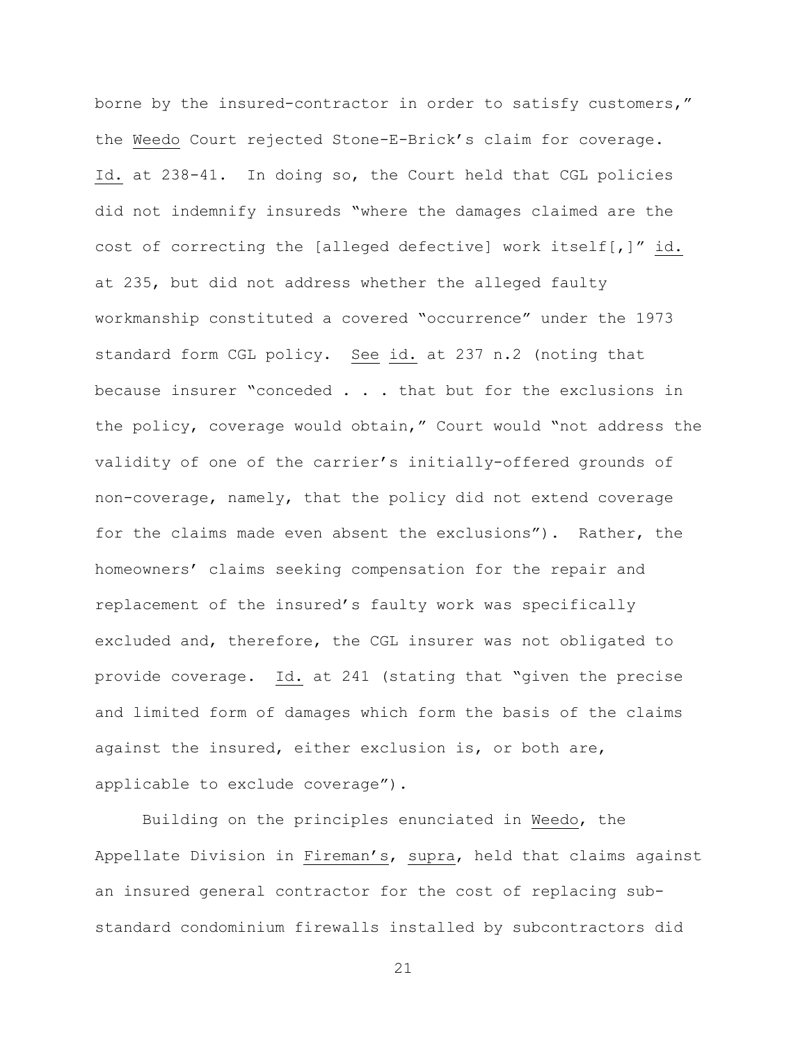borne by the insured-contractor in order to satisfy customers," the Weedo Court rejected Stone-E-Brick's claim for coverage. Id. at 238-41. In doing so, the Court held that CGL policies did not indemnify insureds "where the damages claimed are the cost of correcting the [alleged defective] work itself[,]" id. at 235, but did not address whether the alleged faulty workmanship constituted a covered "occurrence" under the 1973 standard form CGL policy. See id. at 237 n.2 (noting that because insurer "conceded . . . that but for the exclusions in the policy, coverage would obtain," Court would "not address the validity of one of the carrier's initially-offered grounds of non-coverage, namely, that the policy did not extend coverage for the claims made even absent the exclusions"). Rather, the homeowners' claims seeking compensation for the repair and replacement of the insured's faulty work was specifically excluded and, therefore, the CGL insurer was not obligated to provide coverage. Id. at 241 (stating that "given the precise and limited form of damages which form the basis of the claims against the insured, either exclusion is, or both are, applicable to exclude coverage").

Building on the principles enunciated in Weedo, the Appellate Division in Fireman's, supra, held that claims against an insured general contractor for the cost of replacing substandard condominium firewalls installed by subcontractors did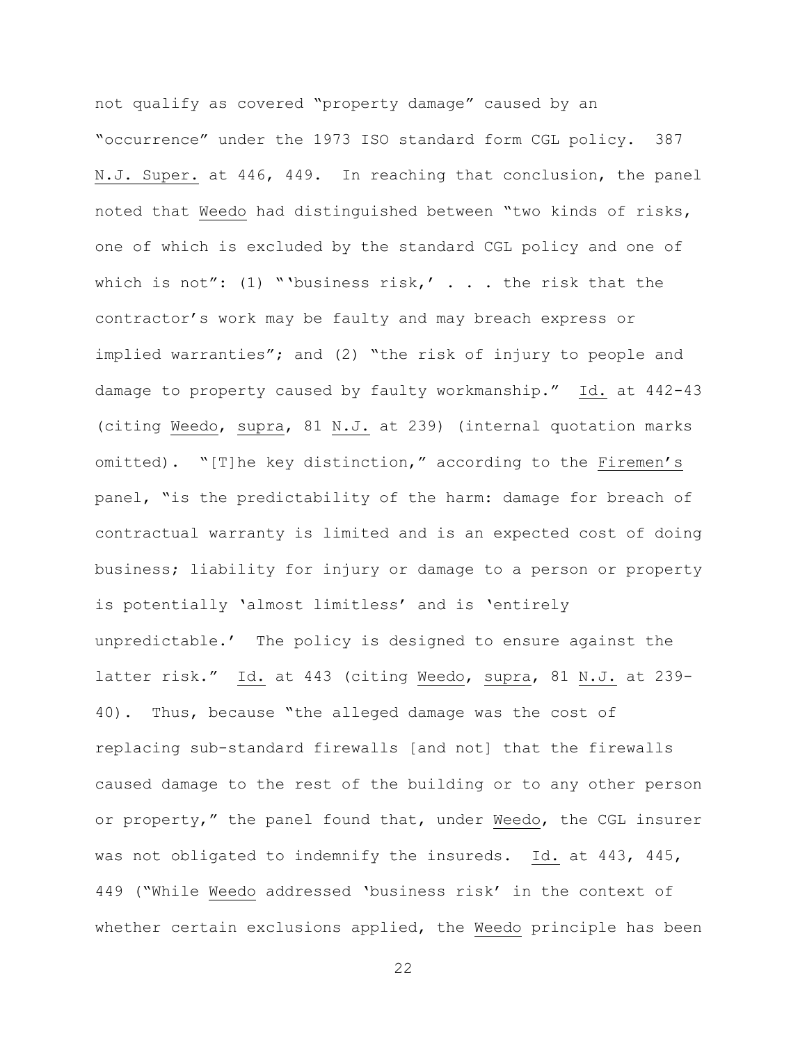not qualify as covered "property damage" caused by an "occurrence" under the 1973 ISO standard form CGL policy. 387 N.J. Super. at 446, 449. In reaching that conclusion, the panel noted that Weedo had distinguished between "two kinds of risks, one of which is excluded by the standard CGL policy and one of which is not": (1) "'business risk,' . . . the risk that the contractor's work may be faulty and may breach express or implied warranties"; and (2) "the risk of injury to people and damage to property caused by faulty workmanship." Id. at 442-43 (citing Weedo, supra, 81 N.J. at 239) (internal quotation marks omitted). "[T]he key distinction," according to the Firemen's panel, "is the predictability of the harm: damage for breach of contractual warranty is limited and is an expected cost of doing business; liability for injury or damage to a person or property is potentially 'almost limitless' and is 'entirely unpredictable.' The policy is designed to ensure against the latter risk." Id. at 443 (citing Weedo, supra, 81 N.J. at 239- 40). Thus, because "the alleged damage was the cost of replacing sub-standard firewalls [and not] that the firewalls caused damage to the rest of the building or to any other person or property," the panel found that, under Weedo, the CGL insurer was not obligated to indemnify the insureds. Id. at 443, 445, 449 ("While Weedo addressed 'business risk' in the context of whether certain exclusions applied, the Weedo principle has been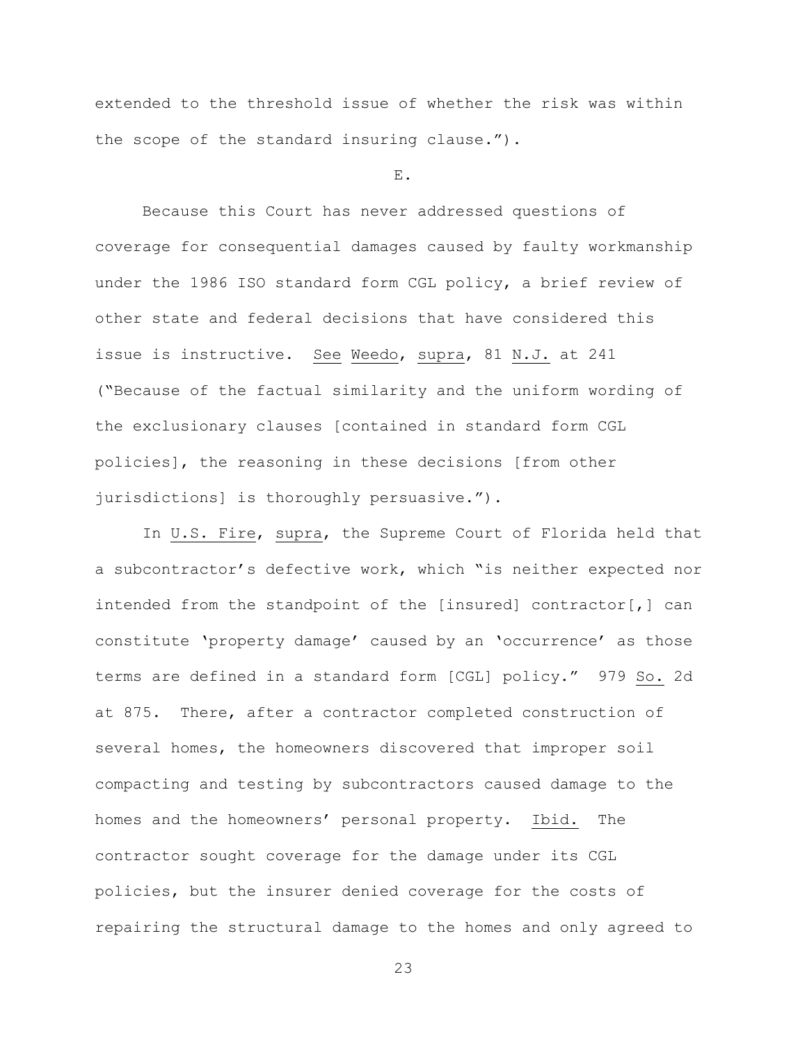extended to the threshold issue of whether the risk was within the scope of the standard insuring clause.").

E.

Because this Court has never addressed questions of coverage for consequential damages caused by faulty workmanship under the 1986 ISO standard form CGL policy, a brief review of other state and federal decisions that have considered this issue is instructive. See Weedo, supra, 81 N.J. at 241 ("Because of the factual similarity and the uniform wording of the exclusionary clauses [contained in standard form CGL policies], the reasoning in these decisions [from other jurisdictions] is thoroughly persuasive.").

In U.S. Fire, supra, the Supreme Court of Florida held that a subcontractor's defective work, which "is neither expected nor intended from the standpoint of the [insured] contractor[,] can constitute 'property damage' caused by an 'occurrence' as those terms are defined in a standard form [CGL] policy." 979 So. 2d at 875. There, after a contractor completed construction of several homes, the homeowners discovered that improper soil compacting and testing by subcontractors caused damage to the homes and the homeowners' personal property. Ibid. The contractor sought coverage for the damage under its CGL policies, but the insurer denied coverage for the costs of repairing the structural damage to the homes and only agreed to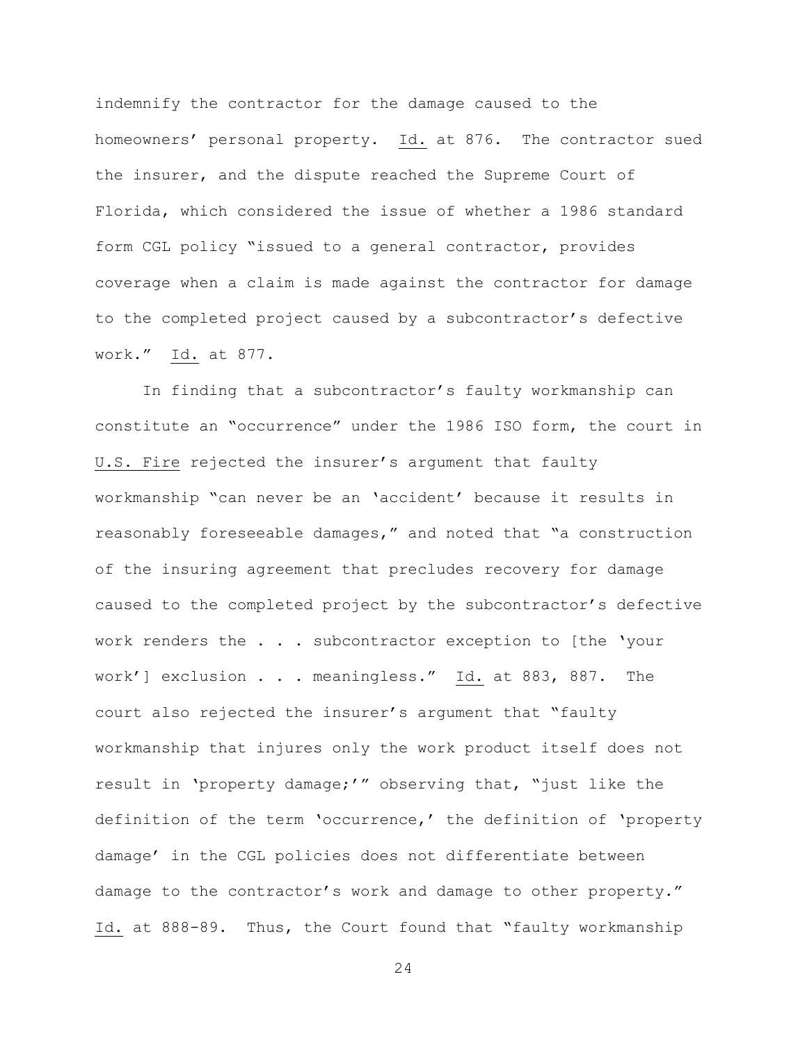indemnify the contractor for the damage caused to the homeowners' personal property. Id. at 876. The contractor sued the insurer, and the dispute reached the Supreme Court of Florida, which considered the issue of whether a 1986 standard form CGL policy "issued to a general contractor, provides coverage when a claim is made against the contractor for damage to the completed project caused by a subcontractor's defective work." Id. at 877.

In finding that a subcontractor's faulty workmanship can constitute an "occurrence" under the 1986 ISO form, the court in U.S. Fire rejected the insurer's argument that faulty workmanship "can never be an 'accident' because it results in reasonably foreseeable damages," and noted that "a construction of the insuring agreement that precludes recovery for damage caused to the completed project by the subcontractor's defective work renders the . . . subcontractor exception to [the 'your work'] exclusion . . . meaningless." Id. at 883, 887. The court also rejected the insurer's argument that "faulty workmanship that injures only the work product itself does not result in 'property damage;'" observing that, "just like the definition of the term 'occurrence,' the definition of 'property damage' in the CGL policies does not differentiate between damage to the contractor's work and damage to other property." Id. at 888-89. Thus, the Court found that "faulty workmanship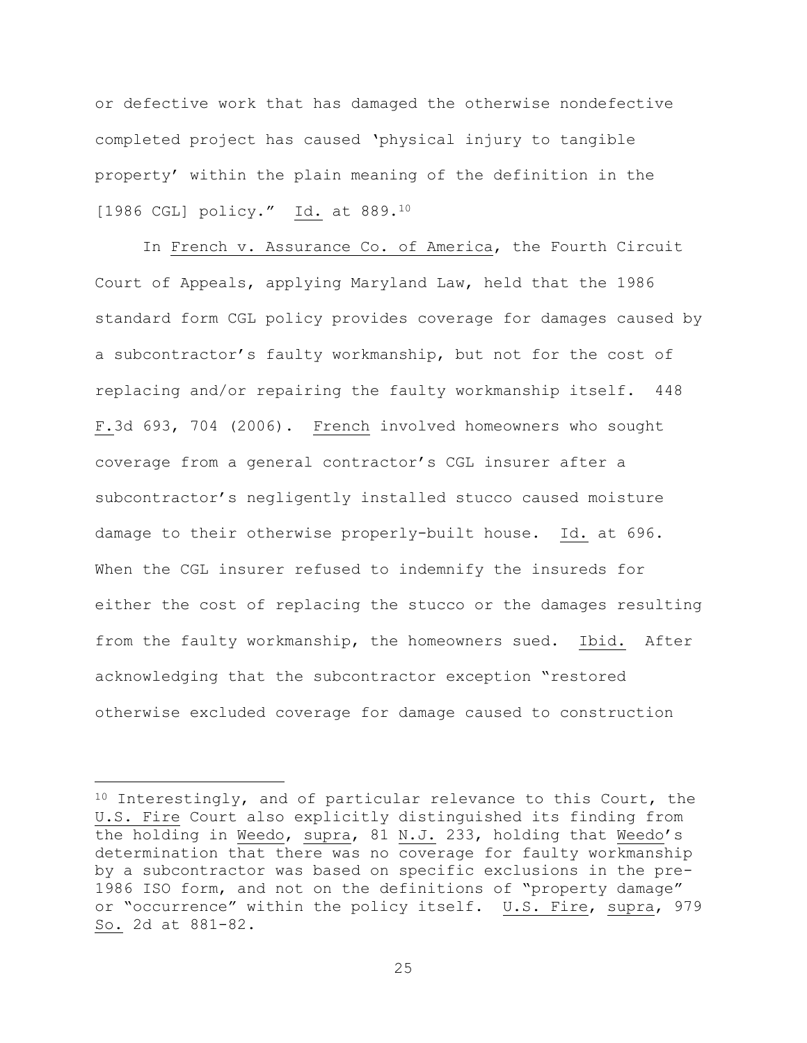or defective work that has damaged the otherwise nondefective completed project has caused 'physical injury to tangible property' within the plain meaning of the definition in the [1986 CGL] policy." Id. at 889.<sup>10</sup>

In French v. Assurance Co. of America, the Fourth Circuit Court of Appeals, applying Maryland Law, held that the 1986 standard form CGL policy provides coverage for damages caused by a subcontractor's faulty workmanship, but not for the cost of replacing and/or repairing the faulty workmanship itself. 448 F.3d 693, 704 (2006). French involved homeowners who sought coverage from a general contractor's CGL insurer after a subcontractor's negligently installed stucco caused moisture damage to their otherwise properly-built house. Id. at 696. When the CGL insurer refused to indemnify the insureds for either the cost of replacing the stucco or the damages resulting from the faulty workmanship, the homeowners sued. Ibid. After acknowledging that the subcontractor exception "restored otherwise excluded coverage for damage caused to construction

i<br>L

 $10$  Interestingly, and of particular relevance to this Court, the U.S. Fire Court also explicitly distinguished its finding from the holding in Weedo, supra, 81 N.J. 233, holding that Weedo's determination that there was no coverage for faulty workmanship by a subcontractor was based on specific exclusions in the pre-1986 ISO form, and not on the definitions of "property damage" or "occurrence" within the policy itself. U.S. Fire, supra, 979 So. 2d at 881-82.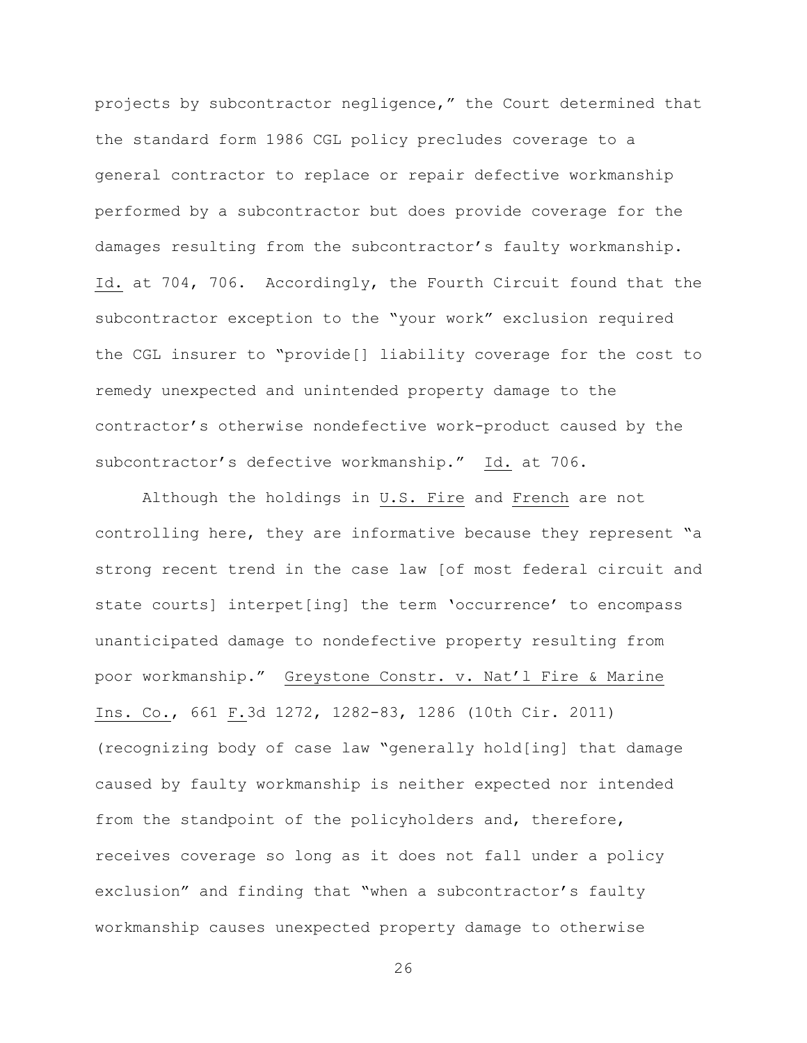projects by subcontractor negligence," the Court determined that the standard form 1986 CGL policy precludes coverage to a general contractor to replace or repair defective workmanship performed by a subcontractor but does provide coverage for the damages resulting from the subcontractor's faulty workmanship. Id. at 704, 706. Accordingly, the Fourth Circuit found that the subcontractor exception to the "your work" exclusion required the CGL insurer to "provide[] liability coverage for the cost to remedy unexpected and unintended property damage to the contractor's otherwise nondefective work-product caused by the subcontractor's defective workmanship." Id. at 706.

Although the holdings in U.S. Fire and French are not controlling here, they are informative because they represent "a strong recent trend in the case law [of most federal circuit and state courts] interpet[ing] the term 'occurrence' to encompass unanticipated damage to nondefective property resulting from poor workmanship." Greystone Constr. v. Nat'l Fire & Marine Ins. Co., 661 F.3d 1272, 1282-83, 1286 (10th Cir. 2011) (recognizing body of case law "generally hold[ing] that damage caused by faulty workmanship is neither expected nor intended from the standpoint of the policyholders and, therefore, receives coverage so long as it does not fall under a policy exclusion" and finding that "when a subcontractor's faulty workmanship causes unexpected property damage to otherwise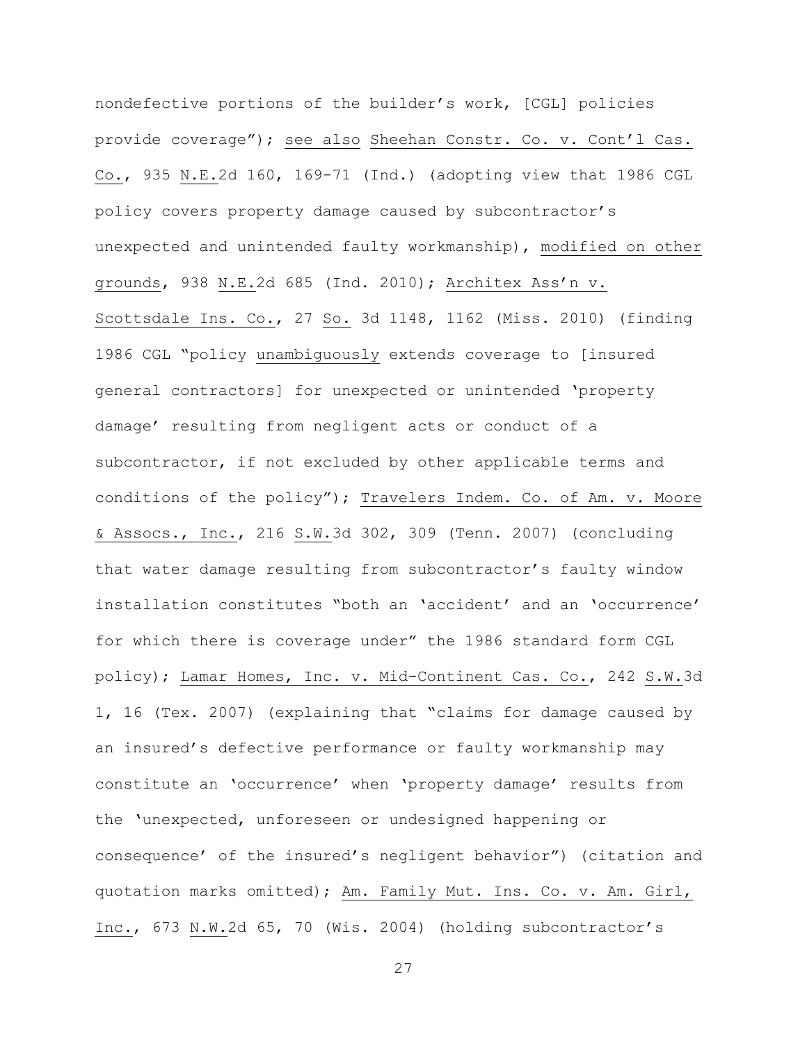nondefective portions of the builder's work, [CGL] policies provide coverage"); see also Sheehan Constr. Co. v. Cont'l Cas. Co., 935 N.E.2d 160, 169-71 (Ind.) (adopting view that 1986 CGL policy covers property damage caused by subcontractor's unexpected and unintended faulty workmanship), modified on other grounds, 938 N.E.2d 685 (Ind. 2010); Architex Ass'n v. Scottsdale Ins. Co., 27 So. 3d 1148, 1162 (Miss. 2010) (finding 1986 CGL "policy unambiguously extends coverage to [insured general contractors] for unexpected or unintended 'property damage' resulting from negligent acts or conduct of a subcontractor, if not excluded by other applicable terms and conditions of the policy"); Travelers Indem. Co. of Am. v. Moore & Assocs., Inc., 216 S.W.3d 302, 309 (Tenn. 2007) (concluding that water damage resulting from subcontractor's faulty window installation constitutes "both an 'accident' and an 'occurrence' for which there is coverage under" the 1986 standard form CGL policy); Lamar Homes, Inc. v. Mid-Continent Cas. Co., 242 S.W.3d 1, 16 (Tex. 2007) (explaining that "claims for damage caused by an insured's defective performance or faulty workmanship may constitute an 'occurrence' when 'property damage' results from the 'unexpected, unforeseen or undesigned happening or consequence' of the insured's negligent behavior") (citation and quotation marks omitted); Am. Family Mut. Ins. Co. v. Am. Girl, Inc., 673 N.W.2d 65, 70 (Wis. 2004) (holding subcontractor's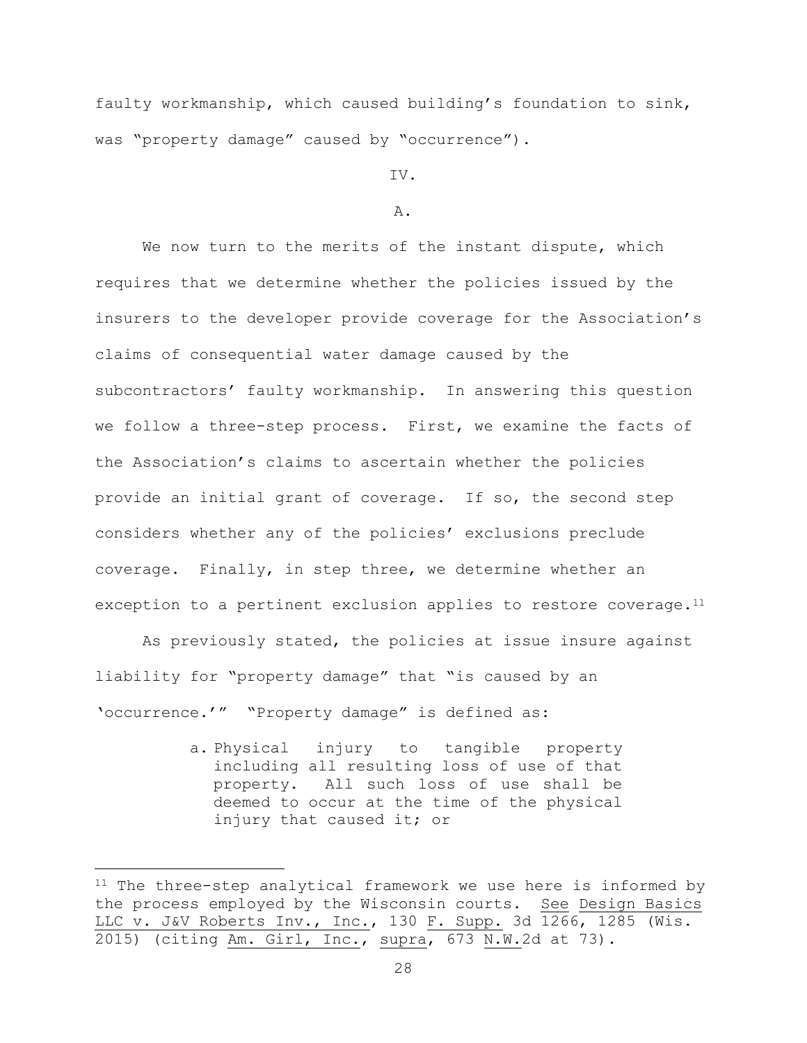faulty workmanship, which caused building's foundation to sink, was "property damage" caused by "occurrence").

IV.

# A.

We now turn to the merits of the instant dispute, which requires that we determine whether the policies issued by the insurers to the developer provide coverage for the Association's claims of consequential water damage caused by the subcontractors' faulty workmanship. In answering this question we follow a three-step process. First, we examine the facts of the Association's claims to ascertain whether the policies provide an initial grant of coverage. If so, the second step considers whether any of the policies' exclusions preclude coverage. Finally, in step three, we determine whether an exception to a pertinent exclusion applies to restore coverage.<sup>11</sup>

As previously stated, the policies at issue insure against liability for "property damage" that "is caused by an 'occurrence.'" "Property damage" is defined as:

> a. Physical injury to tangible property including all resulting loss of use of that property. All such loss of use shall be deemed to occur at the time of the physical injury that caused it; or

i<br>L

<sup>11</sup> The three-step analytical framework we use here is informed by the process employed by the Wisconsin courts. See Design Basics LLC v. J&V Roberts Inv., Inc., 130 F. Supp. 3d 1266, 1285 (Wis. 2015) (citing Am. Girl, Inc., supra, 673 N.W.2d at 73).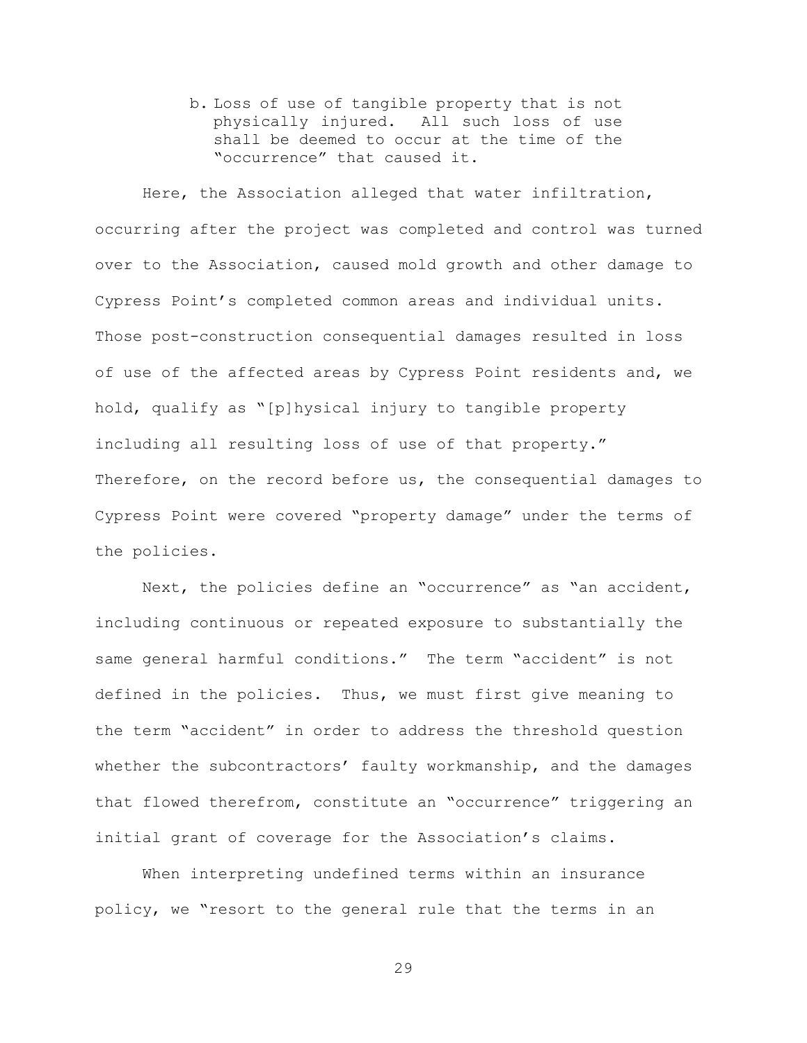b. Loss of use of tangible property that is not physically injured. All such loss of use shall be deemed to occur at the time of the "occurrence" that caused it.

Here, the Association alleged that water infiltration, occurring after the project was completed and control was turned over to the Association, caused mold growth and other damage to Cypress Point's completed common areas and individual units. Those post-construction consequential damages resulted in loss of use of the affected areas by Cypress Point residents and, we hold, qualify as "[p]hysical injury to tangible property including all resulting loss of use of that property." Therefore, on the record before us, the consequential damages to Cypress Point were covered "property damage" under the terms of the policies.

Next, the policies define an "occurrence" as "an accident, including continuous or repeated exposure to substantially the same general harmful conditions." The term "accident" is not defined in the policies. Thus, we must first give meaning to the term "accident" in order to address the threshold question whether the subcontractors' faulty workmanship, and the damages that flowed therefrom, constitute an "occurrence" triggering an initial grant of coverage for the Association's claims.

When interpreting undefined terms within an insurance policy, we "resort to the general rule that the terms in an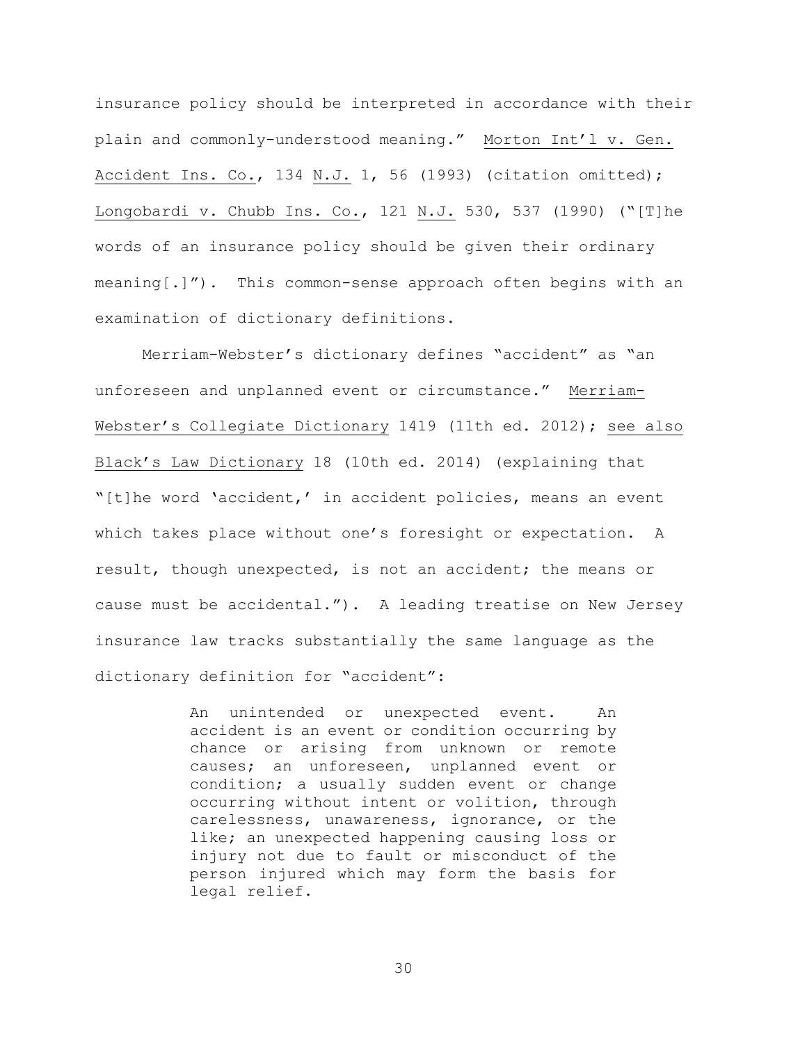insurance policy should be interpreted in accordance with their plain and commonly-understood meaning." Morton Int'l v. Gen. Accident Ins. Co., 134 N.J. 1, 56 (1993) (citation omitted); Longobardi v. Chubb Ins. Co., 121 N.J. 530, 537 (1990) ("[T]he words of an insurance policy should be given their ordinary meaning[.]"). This common-sense approach often begins with an examination of dictionary definitions.

Merriam-Webster's dictionary defines "accident" as "an unforeseen and unplanned event or circumstance." Merriam-Webster's Collegiate Dictionary 1419 (11th ed. 2012); see also Black's Law Dictionary 18 (10th ed. 2014) (explaining that "[t]he word 'accident,' in accident policies, means an event which takes place without one's foresight or expectation. A result, though unexpected, is not an accident; the means or cause must be accidental."). A leading treatise on New Jersey insurance law tracks substantially the same language as the dictionary definition for "accident":

> An unintended or unexpected event. An accident is an event or condition occurring by chance or arising from unknown or remote causes; an unforeseen, unplanned event or condition; a usually sudden event or change occurring without intent or volition, through carelessness, unawareness, ignorance, or the like; an unexpected happening causing loss or injury not due to fault or misconduct of the person injured which may form the basis for legal relief.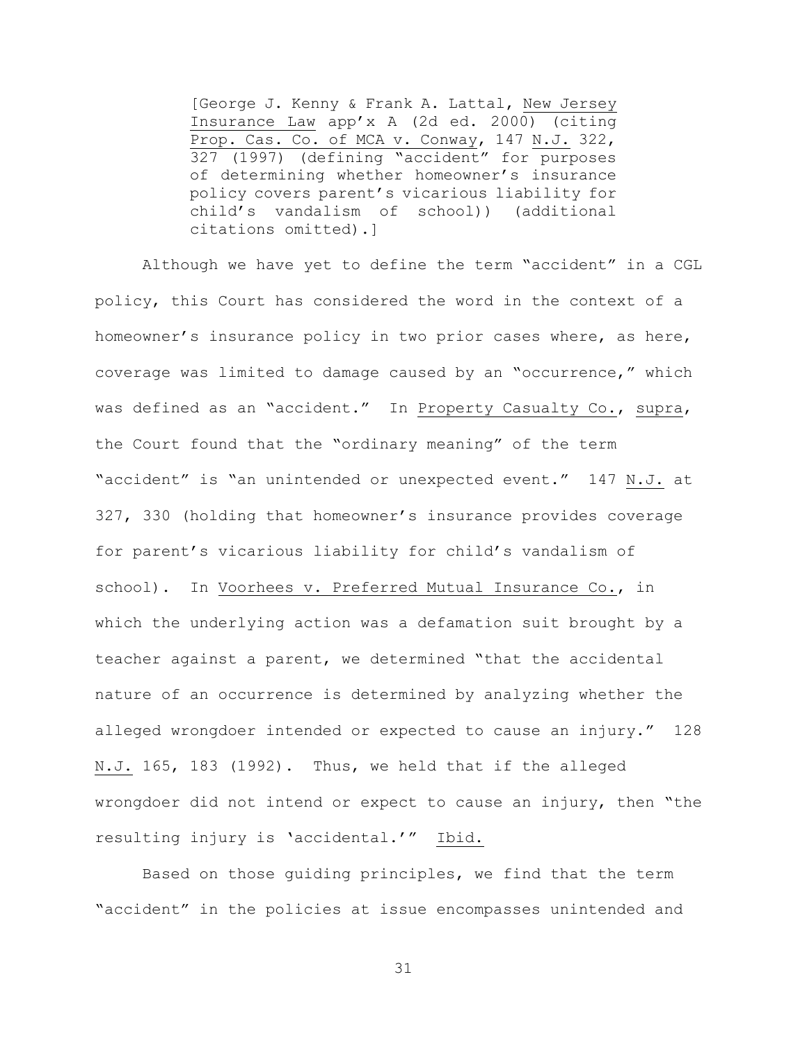[George J. Kenny & Frank A. Lattal, New Jersey Insurance Law app'x A (2d ed. 2000) (citing Prop. Cas. Co. of MCA v. Conway, 147 N.J. 322, 327 (1997) (defining "accident" for purposes of determining whether homeowner's insurance policy covers parent's vicarious liability for child's vandalism of school)) (additional citations omitted).]

Although we have yet to define the term "accident" in a CGL policy, this Court has considered the word in the context of a homeowner's insurance policy in two prior cases where, as here, coverage was limited to damage caused by an "occurrence," which was defined as an "accident." In Property Casualty Co., supra, the Court found that the "ordinary meaning" of the term "accident" is "an unintended or unexpected event." 147 N.J. at 327, 330 (holding that homeowner's insurance provides coverage for parent's vicarious liability for child's vandalism of school). In Voorhees v. Preferred Mutual Insurance Co., in which the underlying action was a defamation suit brought by a teacher against a parent, we determined "that the accidental nature of an occurrence is determined by analyzing whether the alleged wrongdoer intended or expected to cause an injury." 128 N.J. 165, 183 (1992). Thus, we held that if the alleged wrongdoer did not intend or expect to cause an injury, then "the resulting injury is 'accidental.'" Ibid.

Based on those guiding principles, we find that the term "accident" in the policies at issue encompasses unintended and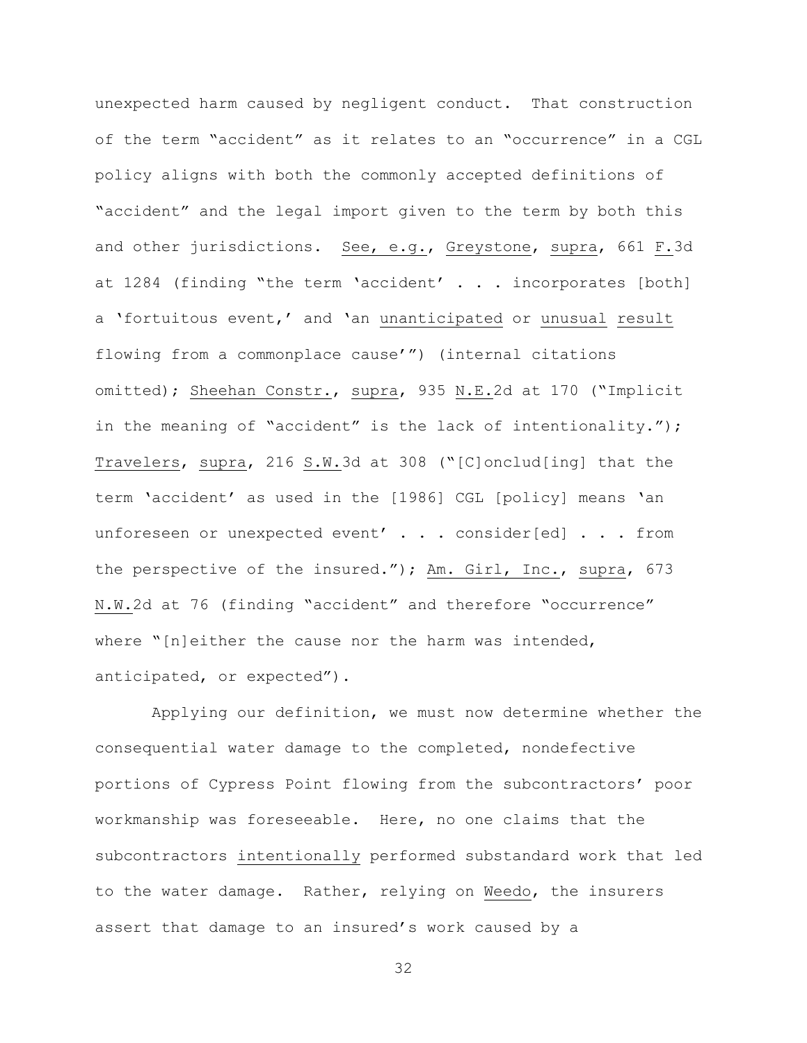unexpected harm caused by negligent conduct. That construction of the term "accident" as it relates to an "occurrence" in a CGL policy aligns with both the commonly accepted definitions of "accident" and the legal import given to the term by both this and other jurisdictions. See, e.g., Greystone, supra, 661 F.3d at 1284 (finding "the term 'accident' . . . incorporates [both] a 'fortuitous event,' and 'an unanticipated or unusual result flowing from a commonplace cause'") (internal citations omitted); Sheehan Constr., supra, 935 N.E.2d at 170 ("Implicit in the meaning of "accident" is the lack of intentionality."); Travelers, supra, 216 S.W.3d at 308 ("[C]onclud[ing] that the term 'accident' as used in the [1986] CGL [policy] means 'an unforeseen or unexpected event' . . . consider[ed] . . . from the perspective of the insured."); Am. Girl, Inc., supra, 673 N.W.2d at 76 (finding "accident" and therefore "occurrence" where "[n]either the cause nor the harm was intended, anticipated, or expected").

Applying our definition, we must now determine whether the consequential water damage to the completed, nondefective portions of Cypress Point flowing from the subcontractors' poor workmanship was foreseeable. Here, no one claims that the subcontractors intentionally performed substandard work that led to the water damage. Rather, relying on Weedo, the insurers assert that damage to an insured's work caused by a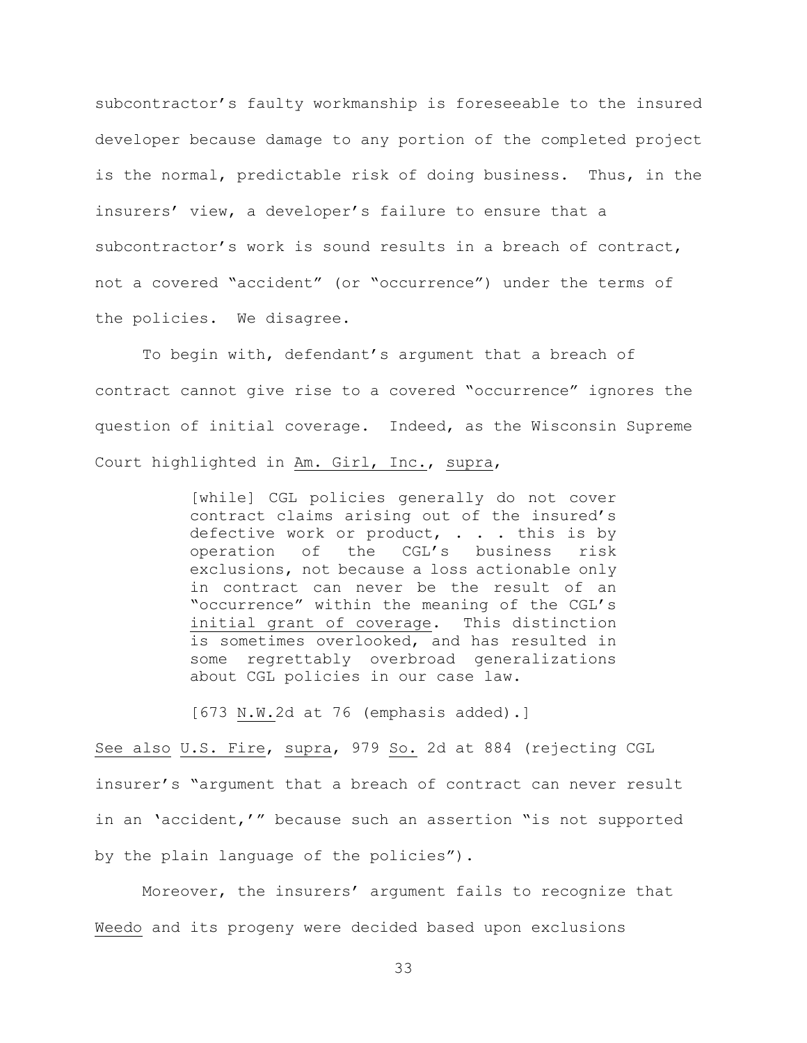subcontractor's faulty workmanship is foreseeable to the insured developer because damage to any portion of the completed project is the normal, predictable risk of doing business. Thus, in the insurers' view, a developer's failure to ensure that a subcontractor's work is sound results in a breach of contract, not a covered "accident" (or "occurrence") under the terms of the policies. We disagree.

To begin with, defendant's argument that a breach of contract cannot give rise to a covered "occurrence" ignores the question of initial coverage. Indeed, as the Wisconsin Supreme Court highlighted in Am. Girl, Inc., supra,

> [while] CGL policies generally do not cover contract claims arising out of the insured's defective work or product, . . . this is by operation of the CGL's business risk exclusions, not because a loss actionable only in contract can never be the result of an "occurrence" within the meaning of the CGL's initial grant of coverage. This distinction is sometimes overlooked, and has resulted in some regrettably overbroad generalizations about CGL policies in our case law.

[673 N.W.2d at 76 (emphasis added).]

See also U.S. Fire, supra, 979 So. 2d at 884 (rejecting CGL insurer's "argument that a breach of contract can never result in an 'accident,'" because such an assertion "is not supported by the plain language of the policies").

Moreover, the insurers' argument fails to recognize that Weedo and its progeny were decided based upon exclusions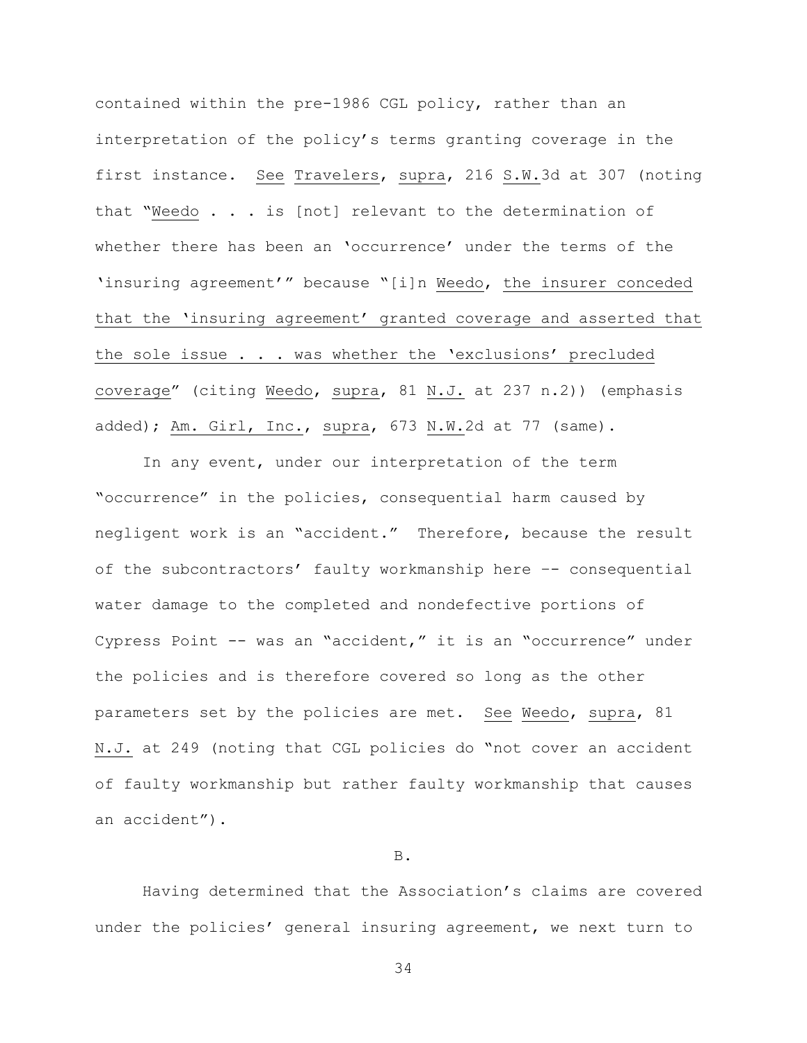contained within the pre-1986 CGL policy, rather than an interpretation of the policy's terms granting coverage in the first instance. See Travelers, supra, 216 S.W.3d at 307 (noting that "Weedo . . . is [not] relevant to the determination of whether there has been an 'occurrence' under the terms of the 'insuring agreement'" because "[i]n Weedo, the insurer conceded that the 'insuring agreement' granted coverage and asserted that the sole issue . . . was whether the 'exclusions' precluded coverage" (citing Weedo, supra, 81 N.J. at 237 n.2)) (emphasis added); Am. Girl, Inc., supra, 673 N.W.2d at 77 (same).

In any event, under our interpretation of the term "occurrence" in the policies, consequential harm caused by negligent work is an "accident." Therefore, because the result of the subcontractors' faulty workmanship here –- consequential water damage to the completed and nondefective portions of Cypress Point -- was an "accident," it is an "occurrence" under the policies and is therefore covered so long as the other parameters set by the policies are met. See Weedo, supra, 81 N.J. at 249 (noting that CGL policies do "not cover an accident of faulty workmanship but rather faulty workmanship that causes an accident").

### B.

Having determined that the Association's claims are covered under the policies' general insuring agreement, we next turn to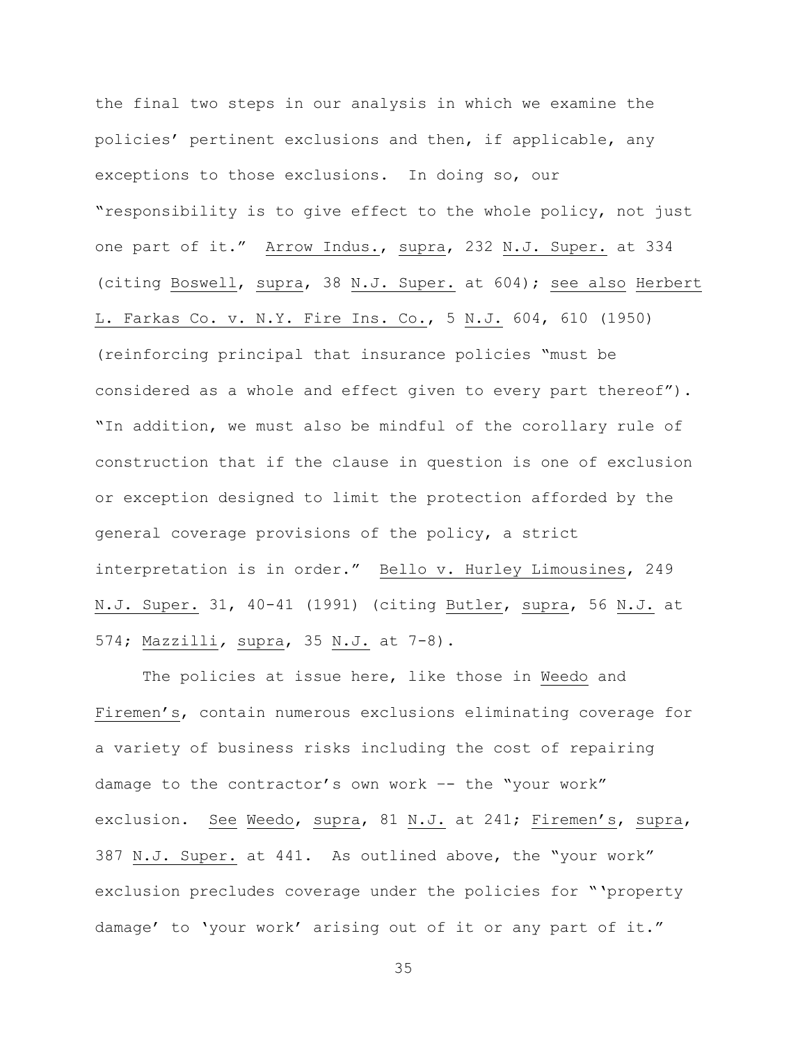the final two steps in our analysis in which we examine the policies' pertinent exclusions and then, if applicable, any exceptions to those exclusions. In doing so, our "responsibility is to give effect to the whole policy, not just one part of it." Arrow Indus., supra, 232 N.J. Super. at 334 (citing Boswell, supra, 38 N.J. Super. at 604); see also Herbert L. Farkas Co. v. N.Y. Fire Ins. Co., 5 N.J. 604, 610 (1950) (reinforcing principal that insurance policies "must be considered as a whole and effect given to every part thereof"). "In addition, we must also be mindful of the corollary rule of construction that if the clause in question is one of exclusion or exception designed to limit the protection afforded by the general coverage provisions of the policy, a strict interpretation is in order." Bello v. Hurley Limousines, 249 N.J. Super. 31, 40-41 (1991) (citing Butler, supra, 56 N.J. at 574; Mazzilli*,* supra, 35 N.J. at 7-8).

The policies at issue here, like those in Weedo and Firemen's, contain numerous exclusions eliminating coverage for a variety of business risks including the cost of repairing damage to the contractor's own work -- the "your work" exclusion. See Weedo, supra, 81 N.J. at 241; Firemen's, supra, 387 N.J. Super. at 441. As outlined above, the "your work" exclusion precludes coverage under the policies for "'property damage' to 'your work' arising out of it or any part of it."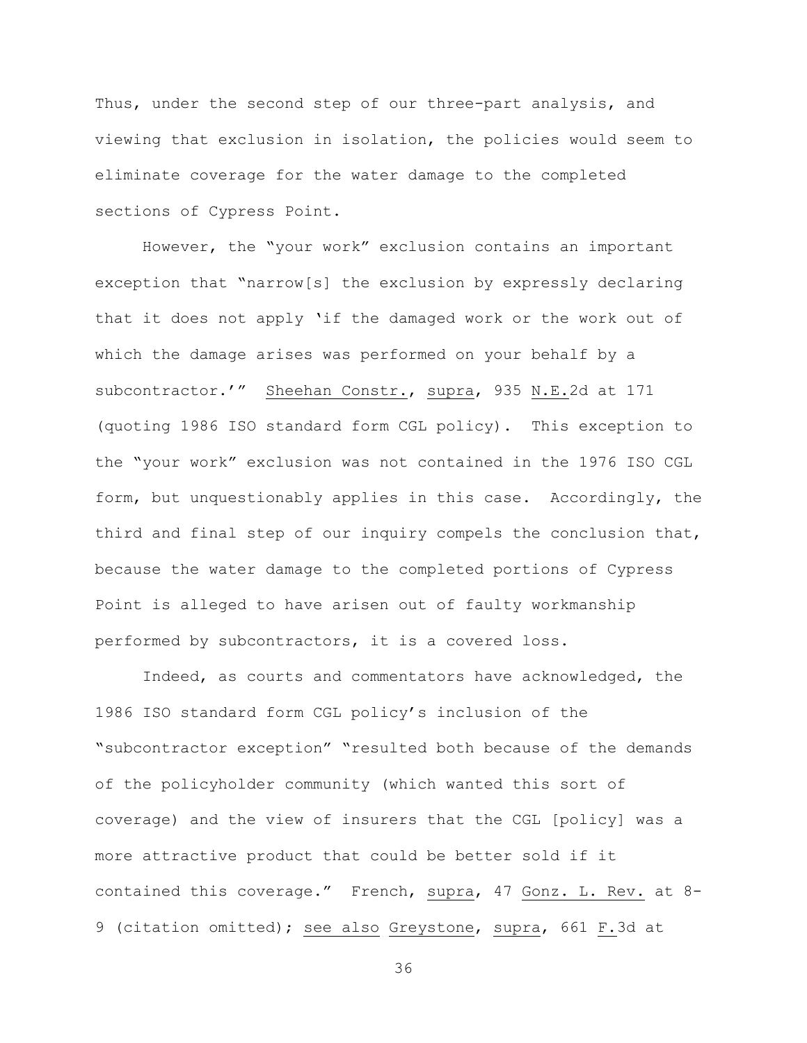Thus, under the second step of our three-part analysis, and viewing that exclusion in isolation, the policies would seem to eliminate coverage for the water damage to the completed sections of Cypress Point.

However, the "your work" exclusion contains an important exception that "narrow[s] the exclusion by expressly declaring that it does not apply 'if the damaged work or the work out of which the damage arises was performed on your behalf by a subcontractor.'" Sheehan Constr., supra, 935 N.E.2d at 171 (quoting 1986 ISO standard form CGL policy). This exception to the "your work" exclusion was not contained in the 1976 ISO CGL form, but unquestionably applies in this case. Accordingly, the third and final step of our inquiry compels the conclusion that, because the water damage to the completed portions of Cypress Point is alleged to have arisen out of faulty workmanship performed by subcontractors, it is a covered loss.

Indeed, as courts and commentators have acknowledged, the 1986 ISO standard form CGL policy's inclusion of the "subcontractor exception" "resulted both because of the demands of the policyholder community (which wanted this sort of coverage) and the view of insurers that the CGL [policy] was a more attractive product that could be better sold if it contained this coverage." French, supra, 47 Gonz. L. Rev. at 8- 9 (citation omitted); see also Greystone, supra, 661 F.3d at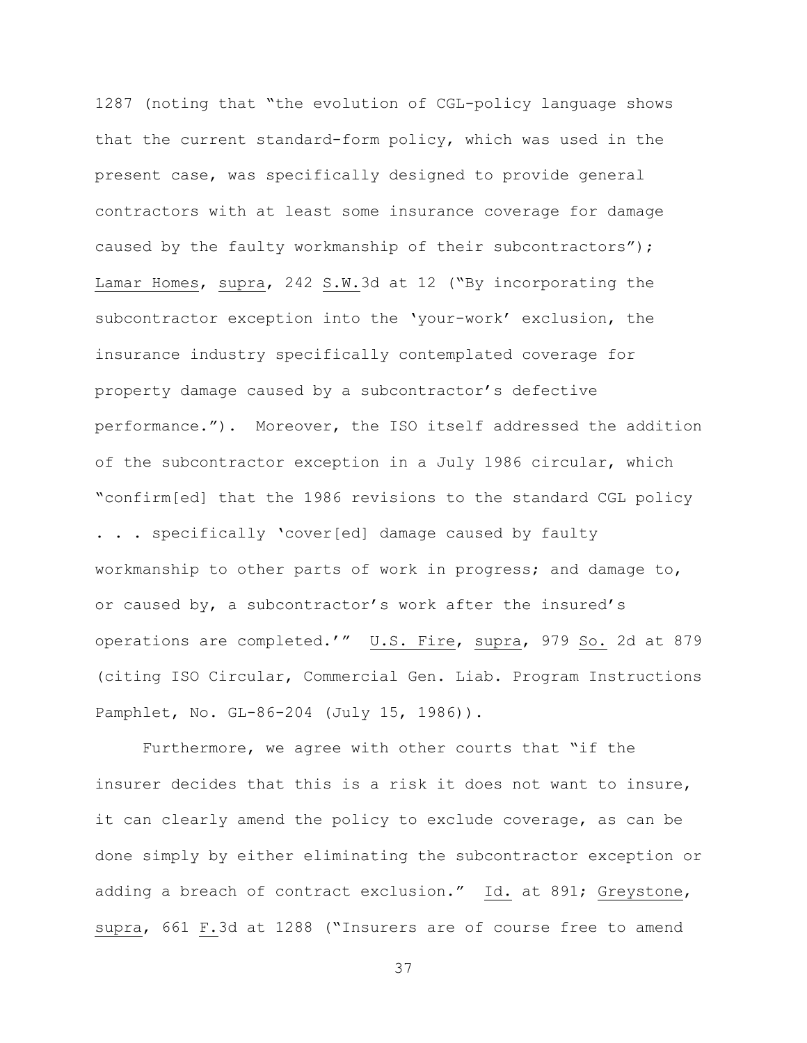1287 (noting that "the evolution of CGL-policy language shows that the current standard-form policy, which was used in the present case, was specifically designed to provide general contractors with at least some insurance coverage for damage caused by the faulty workmanship of their subcontractors"); Lamar Homes, supra, 242 S.W.3d at 12 ("By incorporating the subcontractor exception into the 'your-work' exclusion, the insurance industry specifically contemplated coverage for property damage caused by a subcontractor's defective performance."). Moreover, the ISO itself addressed the addition of the subcontractor exception in a July 1986 circular, which "confirm[ed] that the 1986 revisions to the standard CGL policy . . . specifically 'cover[ed] damage caused by faulty workmanship to other parts of work in progress; and damage to, or caused by, a subcontractor's work after the insured's operations are completed.'" U.S. Fire, supra, 979 So. 2d at 879 (citing ISO Circular, Commercial Gen. Liab. Program Instructions Pamphlet, No. GL-86-204 (July 15, 1986)).

Furthermore, we agree with other courts that "if the insurer decides that this is a risk it does not want to insure, it can clearly amend the policy to exclude coverage, as can be done simply by either eliminating the subcontractor exception or adding a breach of contract exclusion." Id. at 891; Greystone, supra, 661 F.3d at 1288 ("Insurers are of course free to amend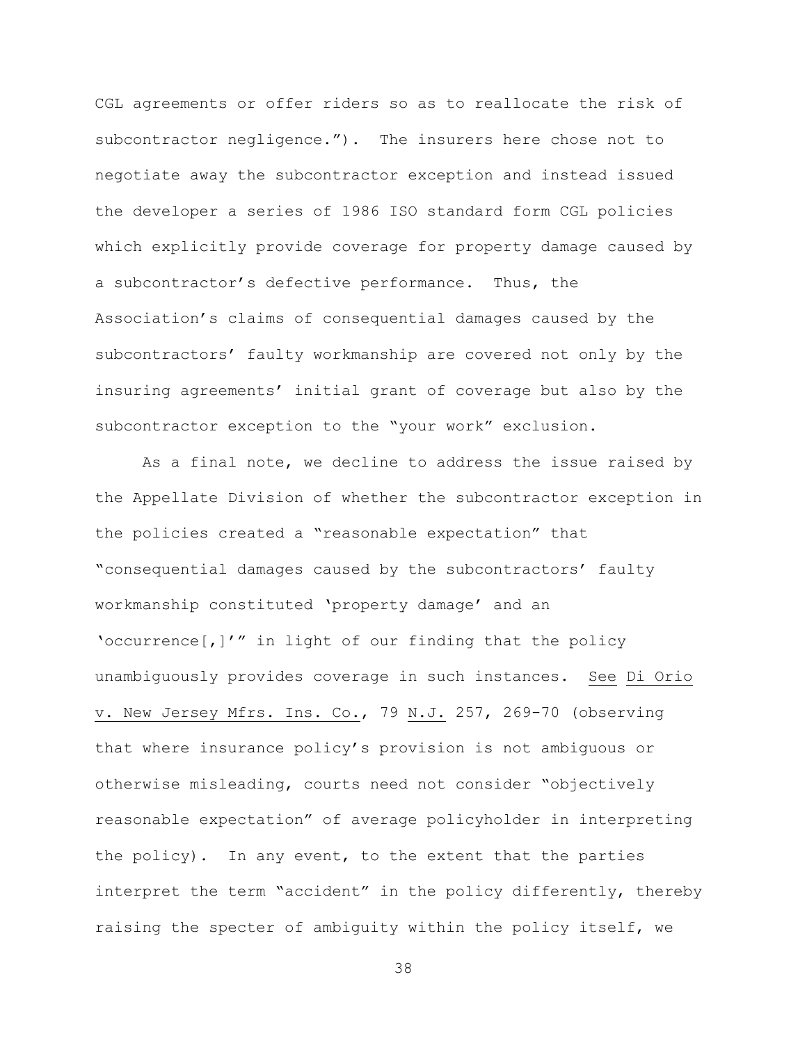CGL agreements or offer riders so as to reallocate the risk of subcontractor negligence."). The insurers here chose not to negotiate away the subcontractor exception and instead issued the developer a series of 1986 ISO standard form CGL policies which explicitly provide coverage for property damage caused by a subcontractor's defective performance. Thus, the Association's claims of consequential damages caused by the subcontractors' faulty workmanship are covered not only by the insuring agreements' initial grant of coverage but also by the subcontractor exception to the "your work" exclusion.

As a final note, we decline to address the issue raised by the Appellate Division of whether the subcontractor exception in the policies created a "reasonable expectation" that "consequential damages caused by the subcontractors' faulty workmanship constituted 'property damage' and an 'occurrence[,]'" in light of our finding that the policy unambiguously provides coverage in such instances. See Di Orio v. New Jersey Mfrs. Ins. Co., 79 N.J. 257, 269-70 (observing that where insurance policy's provision is not ambiguous or otherwise misleading, courts need not consider "objectively reasonable expectation" of average policyholder in interpreting the policy). In any event, to the extent that the parties interpret the term "accident" in the policy differently, thereby raising the specter of ambiguity within the policy itself, we